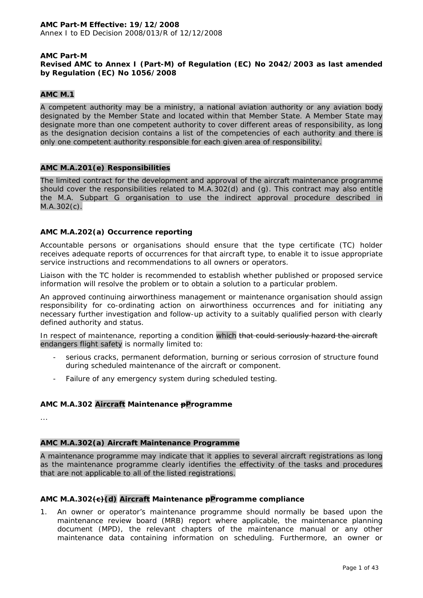## **AMC Part-M Revised AMC to Annex I (Part-M) of Regulation (EC) No 2042/2003 as last amended by Regulation (EC) No 1056/2008**

## **AMC M.1**

A competent authority may be a ministry, a national aviation authority or any aviation body designated by the Member State and located within that Member State. A Member State may designate more than one competent authority to cover different areas of responsibility, as long as the designation decision contains a list of the competencies of each authority and there is only one competent authority responsible for each given area of responsibility.

## **AMC M.A.201(e) Responsibilities**

The limited contract for the development and approval of the aircraft maintenance programme should cover the responsibilities related to M.A.302(d) and (g). This contract may also entitle the M.A. Subpart G organisation to use the indirect approval procedure described in M.A.302(c).

## **AMC M.A.202(a) Occurrence reporting**

Accountable persons or organisations should ensure that the type certificate (TC) holder receives adequate reports of occurrences for that aircraft type, to enable it to issue appropriate service instructions and recommendations to all owners or operators.

Liaison with the TC holder is recommended to establish whether published or proposed service information will resolve the problem or to obtain a solution to a particular problem.

An approved continuing airworthiness management or maintenance organisation should assign responsibility for co-ordinating action on airworthiness occurrences and for initiating any necessary further investigation and follow-up activity to a suitably qualified person with clearly defined authority and status.

In respect of maintenance, reporting a condition which that could seriously hazard the aircraft endangers flight safety is normally limited to:

- serious cracks, permanent deformation, burning or serious corrosion of structure found during scheduled maintenance of the aircraft or component.
- Failure of any emergency system during scheduled testing.

## **AMC M.A.302 Aircraft Maintenance pProgramme**

...

# **AMC M.A.302(a) Aircraft Maintenance Programme**

A maintenance programme may indicate that it applies to several aircraft registrations as long as the maintenance programme clearly identifies the effectivity of the tasks and procedures that are not applicable to all of the listed registrations.

# **AMC M.A.302(c)(d) Aircraft Maintenance pProgramme compliance**

1. An owner or operator's maintenance programme should normally be based upon the maintenance review board (MRB) report where applicable, the maintenance planning document (MPD), the relevant chapters of the maintenance manual or any other maintenance data containing information on scheduling. Furthermore, an owner or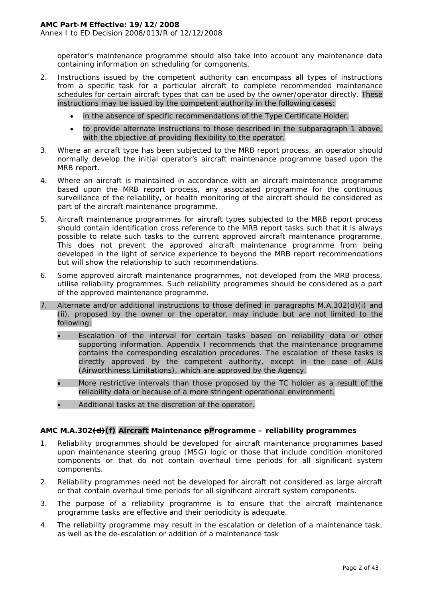operator's maintenance programme should also take into account any maintenance data containing information on scheduling for components.

- 2. Instructions issued by the competent authority can encompass all types of instructions from a specific task for a particular aircraft to complete recommended maintenance schedules for certain aircraft types that can be used by the owner/operator directly. These instructions may be issued by the competent authority in the following cases:
	- in the absence of specific recommendations of the Type Certificate Holder.
	- to provide alternate instructions to those described in the subparagraph 1 above, with the objective of providing flexibility to the operator.
- 3. Where an aircraft type has been subjected to the MRB report process, an operator should normally develop the initial operator's aircraft maintenance programme based upon the MRB report.
- 4. Where an aircraft is maintained in accordance with an aircraft maintenance programme based upon the MRB report process, any associated programme for the continuous surveillance of the reliability, or health monitoring of the aircraft should be considered as part of the aircraft maintenance programme.
- 5. Aircraft maintenance programmes for aircraft types subjected to the MRB report process should contain identification cross reference to the MRB report tasks such that it is always possible to relate such tasks to the current approved aircraft maintenance programme. This does not prevent the approved aircraft maintenance programme from being developed in the light of service experience to beyond the MRB report recommendations but will show the relationship to such recommendations.
- 6. Some approved aircraft maintenance programmes, not developed from the MRB process, utilise reliability programmes. Such reliability programmes should be considered as a part of the approved maintenance programme.
- 7. Alternate and/or additional instructions to those defined in paragraphs M.A.302(d)(i) and (ii), proposed by the owner or the operator, may include but are not limited to the following:
	- Escalation of the interval for certain tasks based on reliability data or other supporting information. Appendix I recommends that the maintenance programme contains the corresponding escalation procedures. The escalation of these tasks is directly approved by the competent authority, except in the case of ALIs (Airworthiness Limitations), which are approved by the Agency.
	- More restrictive intervals than those proposed by the TC holder as a result of the reliability data or because of a more stringent operational environment.
	- Additional tasks at the discretion of the operator.

# **AMC M.A.302(d)(f) Aircraft Maintenance pProgramme – reliability programmes**

- 1. Reliability programmes should be developed for aircraft maintenance programmes based upon maintenance steering group (MSG) logic or those that include condition monitored components or that do not contain overhaul time periods for all significant system components.
- 2. Reliability programmes need not be developed for aircraft not considered as large aircraft or that contain overhaul time periods for all significant aircraft system components.
- 3. The purpose of a reliability programme is to ensure that the aircraft maintenance programme tasks are effective and their periodicity is adequate.
- 4. The reliability programme may result in the escalation or deletion of a maintenance task, as well as the de-escalation or addition of a maintenance task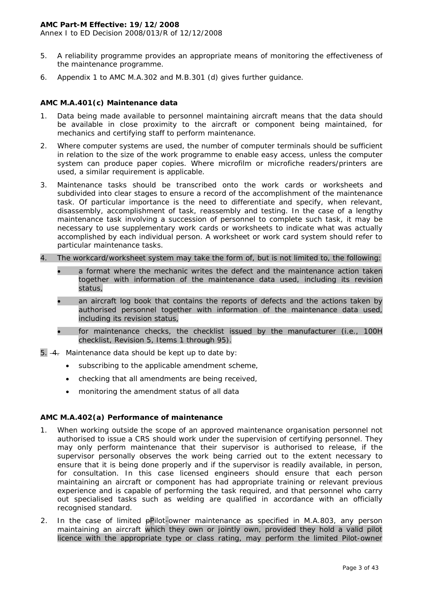Annex I to ED Decision 2008/013/R of 12/12/2008

- 5. A reliability programme provides an appropriate means of monitoring the effectiveness of the maintenance programme.
- 6. Appendix 1 to AMC M.A.302 and M.B.301 (d) gives further guidance.

## **AMC M.A.401(c) Maintenance data**

- 1. Data being made available to personnel maintaining aircraft means that the data should be available in close proximity to the aircraft or component being maintained, for mechanics and certifying staff to perform maintenance.
- 2. Where computer systems are used, the number of computer terminals should be sufficient in relation to the size of the work programme to enable easy access, unless the computer system can produce paper copies. Where microfilm or microfiche readers/printers are used, a similar requirement is applicable.
- 3. Maintenance tasks should be transcribed onto the work cards or worksheets and subdivided into clear stages to ensure a record of the accomplishment of the maintenance task. Of particular importance is the need to differentiate and specify, when relevant, disassembly, accomplishment of task, reassembly and testing. In the case of a lengthy maintenance task involving a succession of personnel to complete such task, it may be necessary to use supplementary work cards or worksheets to indicate what was actually accomplished by each individual person. A worksheet or work card system should refer to particular maintenance tasks.
- 4. The workcard/worksheet system may take the form of, but is not limited to, the following:
	- a format where the mechanic writes the defect and the maintenance action taken together with information of the maintenance data used, including its revision status,
	- an aircraft log book that contains the reports of defects and the actions taken by authorised personnel together with information of the maintenance data used, including its revision status,
	- for maintenance checks, the checklist issued by the manufacturer (i.e., 100H checklist, Revision 5, Items 1 through 95).
- 5.  $-4$ . Maintenance data should be kept up to date by:
	- subscribing to the applicable amendment scheme,
	- checking that all amendments are being received,
	- monitoring the amendment status of all data

# **AMC M.A.402(a) Performance of maintenance**

- 1. When working outside the scope of an approved maintenance organisation personnel not authorised to issue a CRS should work under the supervision of certifying personnel. They may only perform maintenance that their supervisor is authorised to release, if the supervisor personally observes the work being carried out to the extent necessary to ensure that it is being done properly and if the supervisor is readily available, in person, for consultation. In this case licensed engineers should ensure that each person maintaining an aircraft or component has had appropriate training or relevant previous experience and is capable of performing the task required, and that personnel who carry out specialised tasks such as welding are qualified in accordance with an officially recognised standard.
- 2. In the case of limited pPilot-owner maintenance as specified in M.A.803, any person maintaining an aircraft which they own or jointly own, provided they hold a valid pilot licence with the appropriate type or class rating, may perform the limited Pilot-owner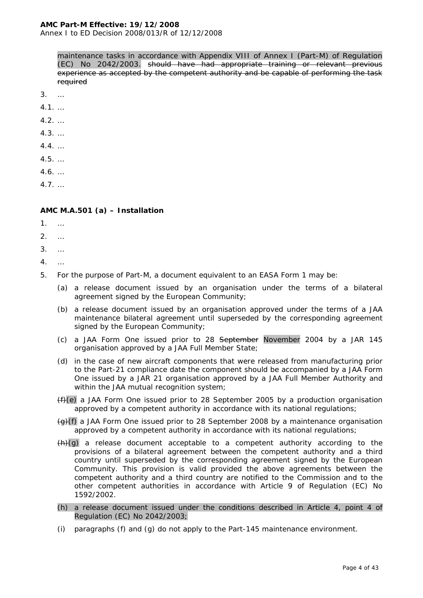Annex I to ED Decision 2008/013/R of 12/12/2008

maintenance tasks in accordance with Appendix VIII of Annex I (Part-M) of Regulation (EC) No 2042/2003. should have had appropriate training or relevant previous experience as accepted by the competent authority and be capable of performing the task required

- 3. …
- 4.1. …
- 4.2. …
- 4.3. …
- 4.4. …
- 
- 4.5. …
- 4.6. …
- 4.7. …

## **AMC M.A.501 (a) – Installation**

- 1. …
- 2. …
- 3. …
- 4. …
- 5. For the purpose of Part-M, a document equivalent to an EASA Form 1 may be:
	- (a) a release document issued by an organisation under the terms of a bilateral agreement signed by the European Community;
	- (b) a release document issued by an organisation approved under the terms of a JAA maintenance bilateral agreement until superseded by the corresponding agreement signed by the European Community;
	- (c) a JAA Form One issued prior to 28 September November 2004 by a JAR 145 organisation approved by a JAA Full Member State;
	- (d) in the case of new aircraft components that were released from manufacturing prior to the Part-21 compliance date the component should be accompanied by a JAA Form One issued by a JAR 21 organisation approved by a JAA Full Member Authority and within the JAA mutual recognition system;
	- $(f)(e)$  a JAA Form One issued prior to 28 September 2005 by a production organisation approved by a competent authority in accordance with its national regulations;
	- $\left\langle \Theta \right\rangle$ (f) a JAA Form One issued prior to 28 September 2008 by a maintenance organisation approved by a competent authority in accordance with its national regulations;
	- $(h)(g)$  a release document acceptable to a competent authority according to the provisions of a bilateral agreement between the competent authority and a third country until superseded by the corresponding agreement signed by the European Community. This provision is valid provided the above agreements between the competent authority and a third country are notified to the Commission and to the other competent authorities in accordance with Article 9 of Regulation (EC) No 1592/2002.
	- (h) a release document issued under the conditions described in Article 4, point 4 of Regulation (EC) No 2042/2003;
	- (i) paragraphs (f) and (g) do not apply to the Part-145 maintenance environment.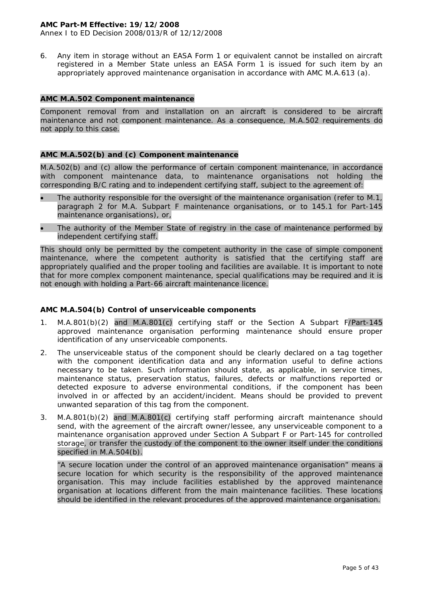Annex I to ED Decision 2008/013/R of 12/12/2008

6. Any item in storage without an EASA Form 1 or equivalent cannot be installed on aircraft registered in a Member State unless an EASA Form 1 is issued for such item by an appropriately approved maintenance organisation in accordance with AMC M.A.613 (a).

## **AMC M.A.502 Component maintenance**

Component removal from and installation on an aircraft is considered to be aircraft maintenance and not component maintenance. As a consequence, M.A.502 requirements do not apply to this case.

#### **AMC M.A.502(b) and (c) Component maintenance**

M.A.502(b) and (c) allow the performance of certain component maintenance, in accordance with component maintenance data, to maintenance organisations not holding the corresponding B/C rating and to independent certifying staff, subject to the agreement of:

- The authority responsible for the oversight of the maintenance organisation (refer to M.1, paragraph 2 for M.A. Subpart F maintenance organisations, or to 145.1 for Part-145 maintenance organisations), or,
- The authority of the Member State of registry in the case of maintenance performed by independent certifying staff.

This should only be permitted by the competent authority in the case of simple component maintenance, where the competent authority is satisfied that the certifying staff are appropriately qualified and the proper tooling and facilities are available. It is important to note that for more complex component maintenance, special qualifications may be required and it is not enough with holding a Part-66 aircraft maintenance licence.

## **AMC M.A.504(b) Control of unserviceable components**

- 1. M.A.801(b)(2) and M.A.801(c) certifying staff or the Section A Subpart F/Part-145 approved maintenance organisation performing maintenance should ensure proper identification of any unserviceable components.
- 2. The unserviceable status of the component should be clearly declared on a tag together with the component identification data and any information useful to define actions necessary to be taken. Such information should state, as applicable, in service times, maintenance status, preservation status, failures, defects or malfunctions reported or detected exposure to adverse environmental conditions, if the component has been involved in or affected by an accident/incident. Means should be provided to prevent unwanted separation of this tag from the component.
- 3. M.A.801(b)(2) and M.A.801(c) certifying staff performing aircraft maintenance should send, with the agreement of the aircraft owner/lessee, any unserviceable component to a maintenance organisation approved under Section A Subpart F or Part-145 for controlled storage, or transfer the custody of the component to the owner itself under the conditions specified in M.A.504(b).

"A secure location under the control of an approved maintenance organisation" means a secure location for which security is the responsibility of the approved maintenance organisation. This may include facilities established by the approved maintenance organisation at locations different from the main maintenance facilities. These locations should be identified in the relevant procedures of the approved maintenance organisation.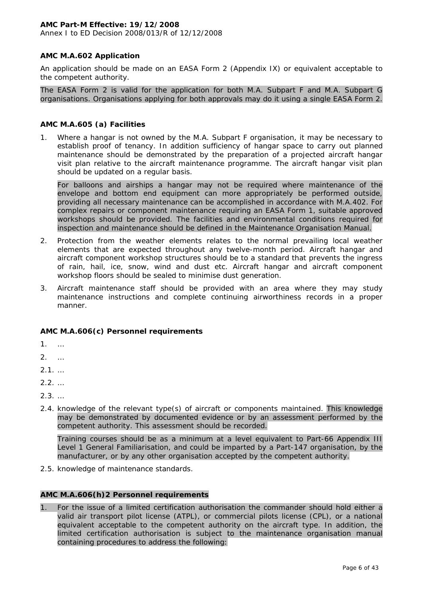Annex I to ED Decision 2008/013/R of 12/12/2008

## **AMC M.A.602 Application**

An application should be made on an EASA Form 2 (Appendix IX) or equivalent acceptable to the competent authority.

The EASA Form 2 is valid for the application for both M.A. Subpart F and M.A. Subpart G organisations. Organisations applying for both approvals may do it using a single EASA Form 2.

#### **AMC M.A.605 (a) Facilities**

1. Where a hangar is not owned by the M.A. Subpart F organisation, it may be necessary to establish proof of tenancy. In addition sufficiency of hangar space to carry out planned maintenance should be demonstrated by the preparation of a projected aircraft hangar visit plan relative to the aircraft maintenance programme. The aircraft hangar visit plan should be updated on a regular basis.

For balloons and airships a hangar may not be required where maintenance of the envelope and bottom end equipment can more appropriately be performed outside, providing all necessary maintenance can be accomplished in accordance with M.A.402. For complex repairs or component maintenance requiring an EASA Form 1, suitable approved workshops should be provided. The facilities and environmental conditions required for inspection and maintenance should be defined in the Maintenance Organisation Manual.

- 2. Protection from the weather elements relates to the normal prevailing local weather elements that are expected throughout any twelve-month period. Aircraft hangar and aircraft component workshop structures should be to a standard that prevents the ingress of rain, hail, ice, snow, wind and dust etc. Aircraft hangar and aircraft component workshop floors should be sealed to minimise dust generation.
- 3. Aircraft maintenance staff should be provided with an area where they may study maintenance instructions and complete continuing airworthiness records in a proper manner.

## **AMC M.A.606(c) Personnel requirements**

1. …

- 2. …
- $2.1.$  …
- $2.2.$  …
- $2.3.$  …
- 2.4. knowledge of the relevant type(s) of aircraft or components maintained. This knowledge may be demonstrated by documented evidence or by an assessment performed by the competent authority. This assessment should be recorded.

Training courses should be as a minimum at a level equivalent to Part-66 Appendix III Level 1 General Familiarisation, and could be imparted by a Part-147 organisation, by the manufacturer, or by any other organisation accepted by the competent authority.

2.5. knowledge of maintenance standards.

## **AMC M.A.606(h)2 Personnel requirements**

1. For the issue of a limited certification authorisation the commander should hold either a valid air transport pilot license (ATPL), or commercial pilots license (CPL), or a national equivalent acceptable to the competent authority on the aircraft type. In addition, the limited certification authorisation is subject to the maintenance organisation manual containing procedures to address the following: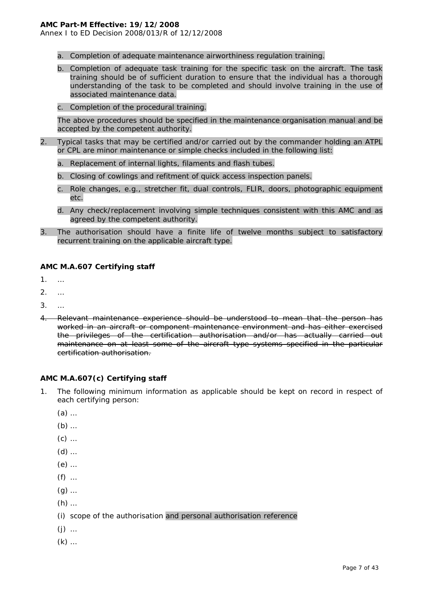Annex I to ED Decision 2008/013/R of 12/12/2008

- a. Completion of adequate maintenance airworthiness regulation training.
- b. Completion of adequate task training for the specific task on the aircraft. The task training should be of sufficient duration to ensure that the individual has a thorough understanding of the task to be completed and should involve training in the use of associated maintenance data.
- c. Completion of the procedural training.

The above procedures should be specified in the maintenance organisation manual and be accepted by the competent authority.

- 2. Typical tasks that may be certified and/or carried out by the commander holding an ATPL or CPL are minor maintenance or simple checks included in the following list:
	- a. Replacement of internal lights, filaments and flash tubes.
	- b. Closing of cowlings and refitment of quick access inspection panels.
	- c. Role changes, e.g., stretcher fit, dual controls, FLIR, doors, photographic equipment etc.
	- d. Any check/replacement involving simple techniques consistent with this AMC and as agreed by the competent authority.
- 3. The authorisation should have a finite life of twelve months subject to satisfactory recurrent training on the applicable aircraft type.

#### **AMC M.A.607 Certifying staff**

- 1. …
- 2. …
- 3. …
- 4. Relevant maintenance experience should be understood to mean that the person has worked in an aircraft or component maintenance environment and has either exercised the privileges of the certification authorisation and/or has actually carried out maintenance on at least some of the aircraft type systems specified in the particular certification authorisation.

#### **AMC M.A.607(c) Certifying staff**

- 1. The following minimum information as applicable should be kept on record in respect of each certifying person:
	- (a) …
	- (b) …
	- (c) …
	- (d) …
	- (e) …
	- (f) …
	- (g) …
	- (h) …
	- (i) scope of the authorisation and personal authorisation reference
	- (j) …
	- (k) …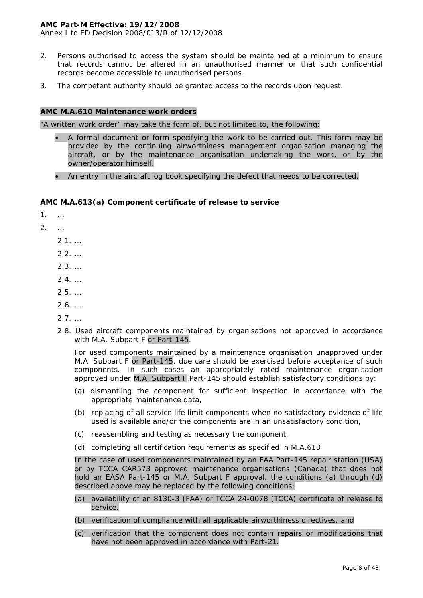Annex I to ED Decision 2008/013/R of 12/12/2008

- 2. Persons authorised to access the system should be maintained at a minimum to ensure that records cannot be altered in an unauthorised manner or that such confidential records become accessible to unauthorised persons.
- 3. The competent authority should be granted access to the records upon request.

#### **AMC M.A.610 Maintenance work orders**

"A written work order" may take the form of, but not limited to, the following:

- A formal document or form specifying the work to be carried out. This form may be provided by the continuing airworthiness management organisation managing the aircraft, or by the maintenance organisation undertaking the work, or by the owner/operator himself.
- An entry in the aircraft log book specifying the defect that needs to be corrected.

#### **AMC M.A.613(a) Component certificate of release to service**

1. …

2. …

2.1. …

- 2.2. …
- $2.3.$  …
- 2.4. …
- 2.5. …
- 2.6. …
- 2.7. …
- 2.8. Used aircraft components maintained by organisations not approved in accordance with M.A. Subpart F or Part-145.

For used components maintained by a maintenance organisation unapproved under M.A. Subpart F or Part-145, due care should be exercised before acceptance of such components. In such cases an appropriately rated maintenance organisation approved under M.A. Subpart F  $Part-145$  should establish satisfactory conditions by:

- (a) dismantling the component for sufficient inspection in accordance with the appropriate maintenance data,
- (b) replacing of all service life limit components when no satisfactory evidence of life used is available and/or the components are in an unsatisfactory condition,
- (c) reassembling and testing as necessary the component,
- (d) completing all certification requirements as specified in M.A.613

In the case of used components maintained by an FAA Part-145 repair station (USA) or by TCCA CAR573 approved maintenance organisations (Canada) that does not hold an EASA Part-145 or M.A. Subpart F approval, the conditions (a) through (d) described above may be replaced by the following conditions:

- (a) availability of an 8130-3 (FAA) or TCCA 24-0078 (TCCA) certificate of release to service.
- (b) verification of compliance with all applicable airworthiness directives, and
- (c) verification that the component does not contain repairs or modifications that have not been approved in accordance with Part-21.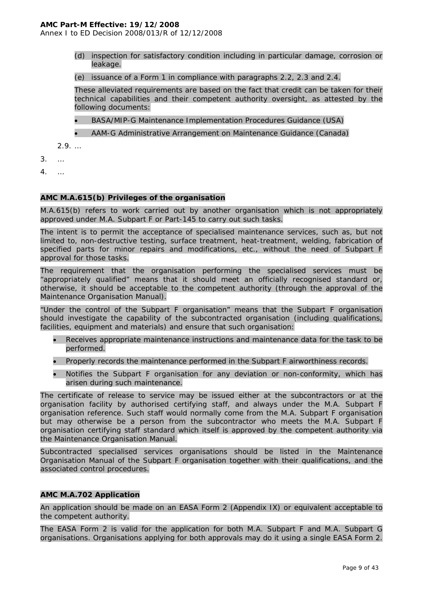Annex I to ED Decision 2008/013/R of 12/12/2008

- (d) inspection for satisfactory condition including in particular damage, corrosion or leakage.
- (e) issuance of a Form 1 in compliance with paragraphs 2.2, 2.3 and 2.4.

These alleviated requirements are based on the fact that credit can be taken for their technical capabilities and their competent authority oversight, as attested by the following documents:

- BASA/MIP-G Maintenance Implementation Procedures Guidance (USA)
- AAM-G Administrative Arrangement on Maintenance Guidance (Canada)

2.9. …

- 3. …
- 4. …

#### **AMC M.A.615(b) Privileges of the organisation**

M.A.615(b) refers to work carried out by another organisation which is not appropriately approved under M.A. Subpart F or Part-145 to carry out such tasks.

The intent is to permit the acceptance of specialised maintenance services, such as, but not limited to, non-destructive testing, surface treatment, heat-treatment, welding, fabrication of specified parts for minor repairs and modifications, etc., without the need of Subpart F approval for those tasks.

The requirement that the organisation performing the specialised services must be "appropriately qualified" means that it should meet an officially recognised standard or, otherwise, it should be acceptable to the competent authority (through the approval of the Maintenance Organisation Manual).

"Under the control of the Subpart F organisation" means that the Subpart F organisation should investigate the capability of the subcontracted organisation (including qualifications, facilities, equipment and materials) and ensure that such organisation:

- Receives appropriate maintenance instructions and maintenance data for the task to be performed.
- Properly records the maintenance performed in the Subpart F airworthiness records.
- Notifies the Subpart F organisation for any deviation or non-conformity, which has arisen during such maintenance.

The certificate of release to service may be issued either at the subcontractors or at the organisation facility by authorised certifying staff, and always under the M.A. Subpart F organisation reference. Such staff would normally come from the M.A. Subpart F organisation but may otherwise be a person from the subcontractor who meets the M.A. Subpart F organisation certifying staff standard which itself is approved by the competent authority via the Maintenance Organisation Manual.

Subcontracted specialised services organisations should be listed in the Maintenance Organisation Manual of the Subpart F organisation together with their qualifications, and the associated control procedures.

#### **AMC M.A.702 Application**

An application should be made on an EASA Form 2 (Appendix IX) or equivalent acceptable to the competent authority.

The EASA Form 2 is valid for the application for both M.A. Subpart F and M.A. Subpart G organisations. Organisations applying for both approvals may do it using a single EASA Form 2.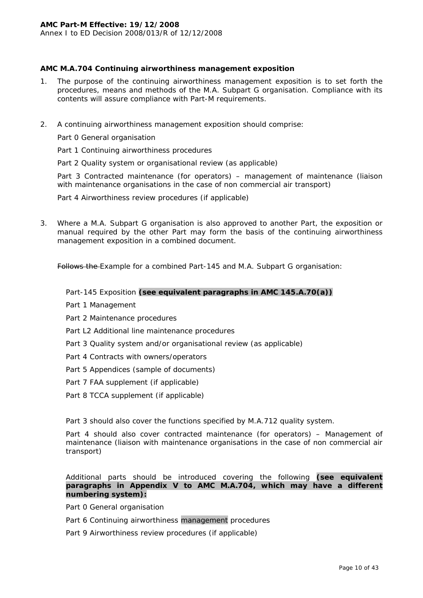# **AMC M.A.704 Continuing airworthiness management exposition**

- 1. The purpose of the continuing airworthiness management exposition is to set forth the procedures, means and methods of the M.A. Subpart G organisation. Compliance with its contents will assure compliance with Part-M requirements.
- 2. A continuing airworthiness management exposition should comprise:

Part 0 General organisation

Part 1 Continuing airworthiness procedures

Part 2 Quality system or organisational review (as applicable)

Part 3 Contracted maintenance (for operators) – management of maintenance (liaison with maintenance organisations in the case of non commercial air transport)

Part 4 Airworthiness review procedures (if applicable)

3. Where a M.A. Subpart G organisation is also approved to another Part, the exposition or manual required by the other Part may form the basis of the continuing airworthiness management exposition in a combined document.

Follows the Example for a combined Part-145 and M.A. Subpart G organisation:

#### *Part-145 Exposition (see equivalent paragraphs in AMC 145.A.70(a))*

- Part 1 Management
- Part 2 Maintenance procedures
- Part L2 Additional line maintenance procedures
- Part 3 Quality system and/or organisational review (as applicable)
- Part 4 Contracts with owners/operators
- Part 5 Appendices (sample of documents)
- Part 7 FAA supplement (if applicable)
- Part 8 TCCA supplement (if applicable)

Part 3 should also cover the functions specified by M.A.712 quality system.

Part 4 should also cover contracted maintenance (for operators) – Management of maintenance (liaison with maintenance organisations in the case of non commercial air transport)

Additional parts should be introduced covering the following *(see equivalent paragraphs in Appendix V to AMC M.A.704, which may have a different numbering system)***:**

Part 0 General organisation

Part 6 Continuing airworthiness management procedures

Part 9 Airworthiness review procedures (if applicable)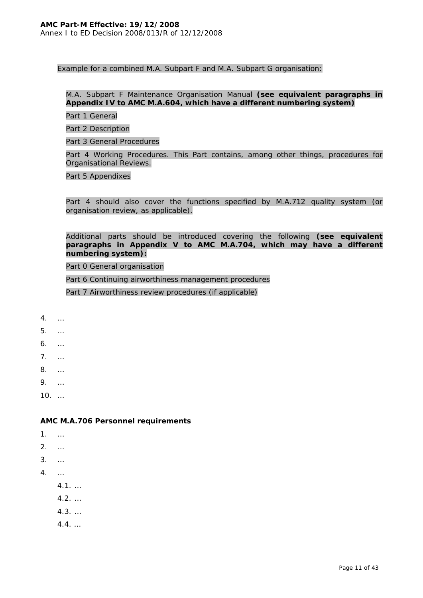Example for a combined M.A. Subpart F and M.A. Subpart G organisation:

# *M.A. Subpart F Maintenance Organisation Manual (see equivalent paragraphs in Appendix IV to AMC M.A.604, which have a different numbering system)*

Part 1 General

Part 2 Description

Part 3 General Procedures

Part 4 Working Procedures. This Part contains, among other things, procedures for Organisational Reviews.

Part 5 Appendixes

Part 4 should also cover the functions specified by M.A.712 quality system (or organisation review, as applicable).

## Additional parts should be introduced covering the following *(see equivalent paragraphs in Appendix V to AMC M.A.704, which may have a different numbering system)***:**

Part 0 General organisation

Part 6 Continuing airworthiness management procedures

Part 7 Airworthiness review procedures (if applicable)

- 4. …
- 5. …
- 6. …
- 7. …
- 
- 8. …
- 9. …
- 10. …

# **AMC M.A.706 Personnel requirements**

- 1. …
- 2. …
- 3. …
- 4. …
- - 4.1. …
	- 4.2. …
	- 4.3. …
	- 4.4. …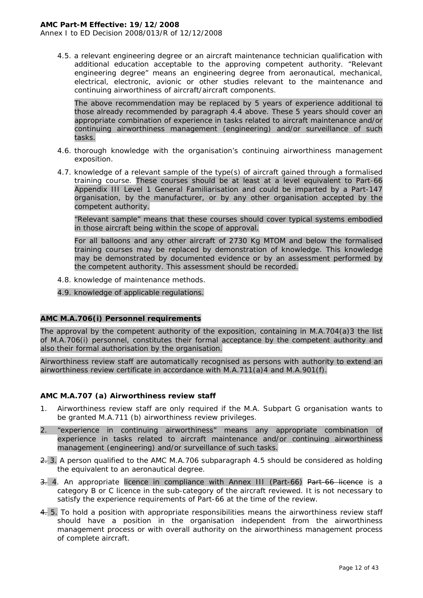Annex I to ED Decision 2008/013/R of 12/12/2008

4.5. a relevant engineering degree or an aircraft maintenance technician qualification with additional education acceptable to the approving competent authority. "Relevant engineering degree" means an engineering degree from aeronautical, mechanical, electrical, electronic, avionic or other studies relevant to the maintenance and continuing airworthiness of aircraft/aircraft components.

The above recommendation may be replaced by 5 years of experience additional to those already recommended by paragraph 4.4 above. These 5 years should cover an appropriate combination of experience in tasks related to aircraft maintenance and/or continuing airworthiness management (engineering) and/or surveillance of such tasks.

- 4.6. thorough knowledge with the organisation's continuing airworthiness management exposition.
- 4.7. knowledge of a relevant sample of the type(s) of aircraft gained through a formalised training course. These courses should be at least at a level equivalent to Part-66 Appendix III Level 1 General Familiarisation and could be imparted by a Part-147 organisation, by the manufacturer, or by any other organisation accepted by the competent authority.

"Relevant sample" means that these courses should cover typical systems embodied in those aircraft being within the scope of approval.

For all balloons and any other aircraft of 2730 Kg MTOM and below the formalised training courses may be replaced by demonstration of knowledge. This knowledge may be demonstrated by documented evidence or by an assessment performed by the competent authority. This assessment should be recorded.

- 4.8. knowledge of maintenance methods.
- 4.9. knowledge of applicable regulations.

#### **AMC M.A.706(i) Personnel requirements**

The approval by the competent authority of the exposition, containing in M.A.704(a)3 the list of M.A.706(i) personnel, constitutes their formal acceptance by the competent authority and also their formal authorisation by the organisation.

Airworthiness review staff are automatically recognised as persons with authority to extend an airworthiness review certificate in accordance with M.A.711(a)4 and M.A.901(f).

#### **AMC M.A.707 (a) Airworthiness review staff**

- 1. Airworthiness review staff are only required if the M.A. Subpart G organisation wants to be granted M.A.711 (b) airworthiness review privileges.
- 2. "experience in continuing airworthiness" means any appropriate combination of experience in tasks related to aircraft maintenance and/or continuing airworthiness management (engineering) and/or surveillance of such tasks.
- 2. 3. A person qualified to the AMC M.A.706 subparagraph 4.5 should be considered as holding the equivalent to an aeronautical degree.
- 3. 4. An appropriate licence in compliance with Annex III (Part-66) Part-66 licence is a category B or C licence in the sub-category of the aircraft reviewed. It is not necessary to satisfy the experience requirements of Part-66 at the time of the review.
- 4. 5. To hold a position with appropriate responsibilities means the airworthiness review staff should have a position in the organisation independent from the airworthiness management process or with overall authority on the airworthiness management process of complete aircraft.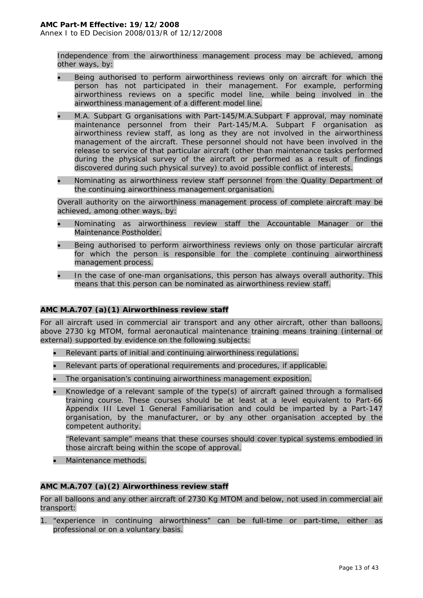Independence from the airworthiness management process may be achieved, among other ways, by:

- Being authorised to perform airworthiness reviews only on aircraft for which the person has not participated in their management. For example, performing airworthiness reviews on a specific model line, while being involved in the airworthiness management of a different model line.
- M.A. Subpart G organisations with Part-145/M.A.Subpart F approval, may nominate maintenance personnel from their Part-145/M.A. Subpart F organisation as airworthiness review staff, as long as they are not involved in the airworthiness management of the aircraft. These personnel should not have been involved in the release to service of that particular aircraft (other than maintenance tasks performed during the physical survey of the aircraft or performed as a result of findings discovered during such physical survey) to avoid possible conflict of interests.
- Nominating as airworthiness review staff personnel from the Quality Department of the continuing airworthiness management organisation.

Overall authority on the airworthiness management process of complete aircraft may be achieved, among other ways, by:

- Nominating as airworthiness review staff the Accountable Manager or the Maintenance Postholder.
- Being authorised to perform airworthiness reviews only on those particular aircraft for which the person is responsible for the complete continuing airworthiness management process.
- In the case of one-man organisations, this person has always overall authority. This means that this person can be nominated as airworthiness review staff.

# **AMC M.A.707 (a)(1) Airworthiness review staff**

For all aircraft used in commercial air transport and any other aircraft, other than balloons, above 2730 kg MTOM, formal aeronautical maintenance training means training (internal or external) supported by evidence on the following subjects:

- Relevant parts of initial and continuing airworthiness regulations.
- Relevant parts of operational requirements and procedures, if applicable.
- The organisation's continuing airworthiness management exposition.
- Knowledge of a relevant sample of the type(s) of aircraft gained through a formalised training course. These courses should be at least at a level equivalent to Part-66 Appendix III Level 1 General Familiarisation and could be imparted by a Part-147 organisation, by the manufacturer, or by any other organisation accepted by the competent authority.

"Relevant sample" means that these courses should cover typical systems embodied in those aircraft being within the scope of approval.

• Maintenance methods.

# **AMC M.A.707 (a)(2) Airworthiness review staff**

For all balloons and any other aircraft of 2730 Kg MTOM and below, not used in commercial air transport:

1. "experience in continuing airworthiness" can be full-time or part-time, either as professional or on a voluntary basis.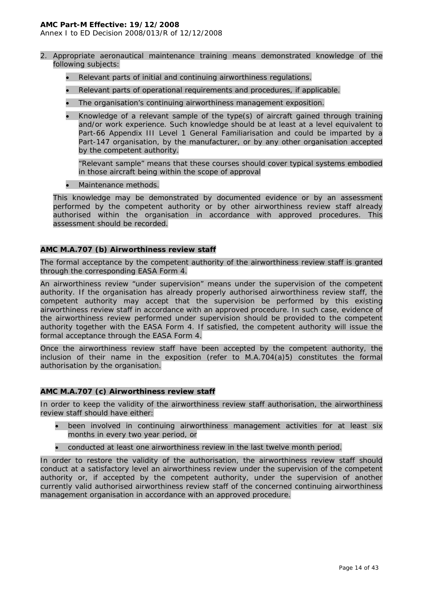Annex I to ED Decision 2008/013/R of 12/12/2008

- 2. Appropriate aeronautical maintenance training means demonstrated knowledge of the following subjects:
	- Relevant parts of initial and continuing airworthiness regulations.
	- Relevant parts of operational requirements and procedures, if applicable.
	- The organisation's continuing airworthiness management exposition.
	- Knowledge of a relevant sample of the type(s) of aircraft gained through training and/or work experience. Such knowledge should be at least at a level equivalent to Part-66 Appendix III Level 1 General Familiarisation and could be imparted by a Part-147 organisation, by the manufacturer, or by any other organisation accepted by the competent authority.

"Relevant sample" means that these courses should cover typical systems embodied in those aircraft being within the scope of approval

• Maintenance methods.

This knowledge may be demonstrated by documented evidence or by an assessment performed by the competent authority or by other airworthiness review staff already authorised within the organisation in accordance with approved procedures. This assessment should be recorded.

## **AMC M.A.707 (b) Airworthiness review staff**

The formal acceptance by the competent authority of the airworthiness review staff is granted through the corresponding EASA Form 4.

An airworthiness review "under supervision" means under the supervision of the competent authority. If the organisation has already properly authorised airworthiness review staff, the competent authority may accept that the supervision be performed by this existing airworthiness review staff in accordance with an approved procedure. In such case, evidence of the airworthiness review performed under supervision should be provided to the competent authority together with the EASA Form 4. If satisfied, the competent authority will issue the formal acceptance through the EASA Form 4.

Once the airworthiness review staff have been accepted by the competent authority, the inclusion of their name in the exposition (refer to M.A.704(a)5) constitutes the formal authorisation by the organisation.

## **AMC M.A.707 (c) Airworthiness review staff**

In order to keep the validity of the airworthiness review staff authorisation, the airworthiness review staff should have either:

- been involved in continuing airworthiness management activities for at least six months in every two year period, or
- conducted at least one airworthiness review in the last twelve month period.

In order to restore the validity of the authorisation, the airworthiness review staff should conduct at a satisfactory level an airworthiness review under the supervision of the competent authority or, if accepted by the competent authority, under the supervision of another currently valid authorised airworthiness review staff of the concerned continuing airworthiness management organisation in accordance with an approved procedure.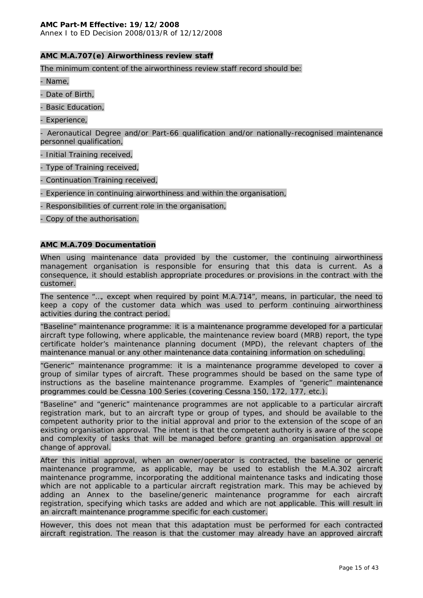Annex I to ED Decision 2008/013/R of 12/12/2008

#### **AMC M.A.707(e) Airworthiness review staff**

The minimum content of the airworthiness review staff record should be:

- Name,

- Date of Birth,

- Basic Education,

- Experience,

- Aeronautical Degree and/or Part-66 qualification and/or nationally-recognised maintenance personnel qualification,

- Initial Training received,

- Type of Training received,

- Continuation Training received,

- Experience in continuing airworthiness and within the organisation,

- Responsibilities of current role in the organisation,

- Copy of the authorisation.

#### **AMC M.A.709 Documentation**

When using maintenance data provided by the customer, the continuing airworthiness management organisation is responsible for ensuring that this data is current. As a consequence, it should establish appropriate procedures or provisions in the contract with the customer.

The sentence "…, except when required by point M.A.714", means, in particular, the need to keep a copy of the customer data which was used to perform continuing airworthiness activities during the contract period.

"Baseline" maintenance programme: it is a maintenance programme developed for a particular aircraft type following, where applicable, the maintenance review board (MRB) report, the type certificate holder's maintenance planning document (MPD), the relevant chapters of the maintenance manual or any other maintenance data containing information on scheduling.

"Generic" maintenance programme: it is a maintenance programme developed to cover a group of similar types of aircraft. These programmes should be based on the same type of instructions as the baseline maintenance programme. Examples of "generic" maintenance programmes could be Cessna 100 Series (covering Cessna 150, 172, 177, etc.).

"Baseline" and "generic" maintenance programmes are not applicable to a particular aircraft registration mark, but to an aircraft type or group of types, and should be available to the competent authority prior to the initial approval and prior to the extension of the scope of an existing organisation approval. The intent is that the competent authority is aware of the scope and complexity of tasks that will be managed before granting an organisation approval or change of approval.

After this initial approval, when an owner/operator is contracted, the baseline or generic maintenance programme, as applicable, may be used to establish the M.A.302 aircraft maintenance programme, incorporating the additional maintenance tasks and indicating those which are not applicable to a particular aircraft registration mark. This may be achieved by adding an Annex to the baseline/generic maintenance programme for each aircraft registration, specifying which tasks are added and which are not applicable. This will result in an aircraft maintenance programme specific for each customer.

However, this does not mean that this adaptation must be performed for each contracted aircraft registration. The reason is that the customer may already have an approved aircraft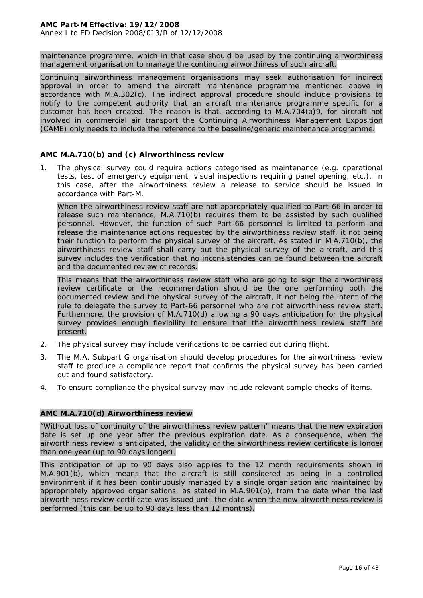maintenance programme, which in that case should be used by the continuing airworthiness management organisation to manage the continuing airworthiness of such aircraft.

Continuing airworthiness management organisations may seek authorisation for indirect approval in order to amend the aircraft maintenance programme mentioned above in accordance with M.A.302(c). The indirect approval procedure should include provisions to notify to the competent authority that an aircraft maintenance programme specific for a customer has been created. The reason is that, according to M.A.704(a)9, for aircraft not involved in commercial air transport the Continuing Airworthiness Management Exposition (CAME) only needs to include the reference to the baseline/generic maintenance programme.

# **AMC M.A.710(b) and (c) Airworthiness review**

1. The physical survey could require actions categorised as maintenance (e.g. operational tests, test of emergency equipment, visual inspections requiring panel opening, etc.). In this case, after the airworthiness review a release to service should be issued in accordance with Part-M.

When the airworthiness review staff are not appropriately qualified to Part-66 in order to release such maintenance, M.A.710(b) requires them to be assisted by such qualified personnel. However, the function of such Part-66 personnel is limited to perform and release the maintenance actions requested by the airworthiness review staff, it not being their function to perform the physical survey of the aircraft. As stated in M.A.710(b), the airworthiness review staff shall carry out the physical survey of the aircraft, and this survey includes the verification that no inconsistencies can be found between the aircraft and the documented review of records.

This means that the airworthiness review staff who are going to sign the airworthiness review certificate or the recommendation should be the one performing both the documented review and the physical survey of the aircraft, it not being the intent of the rule to delegate the survey to Part-66 personnel who are not airworthiness review staff. Furthermore, the provision of M.A.710(d) allowing a 90 days anticipation for the physical survey provides enough flexibility to ensure that the airworthiness review staff are present.

- 2. The physical survey may include verifications to be carried out during flight.
- 3. The M.A. Subpart G organisation should develop procedures for the airworthiness review staff to produce a compliance report that confirms the physical survey has been carried out and found satisfactory.
- 4. To ensure compliance the physical survey may include relevant sample checks of items.

## **AMC M.A.710(d) Airworthiness review**

"Without loss of continuity of the airworthiness review pattern" means that the new expiration date is set up one year after the previous expiration date. As a consequence, when the airworthiness review is anticipated, the validity or the airworthiness review certificate is longer than one year (up to 90 days longer).

This anticipation of up to 90 days also applies to the 12 month requirements shown in M.A.901(b), which means that the aircraft is still considered as being in a controlled environment if it has been continuously managed by a single organisation and maintained by appropriately approved organisations, as stated in M.A.901(b), from the date when the last airworthiness review certificate was issued until the date when the new airworthiness review is performed (this can be up to 90 days less than 12 months).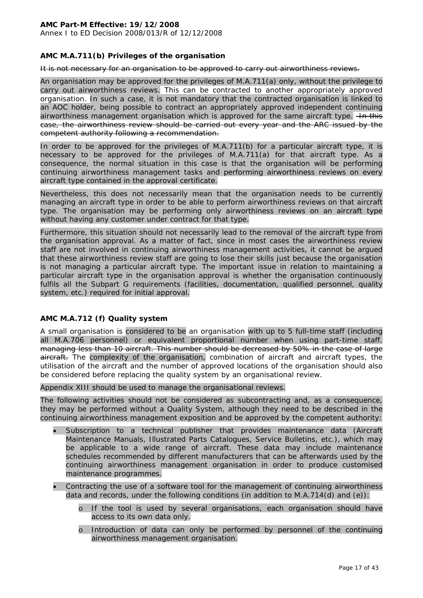Annex I to ED Decision 2008/013/R of 12/12/2008

## **AMC M.A.711(b) Privileges of the organisation**

#### It is not necessary for an organisation to be approved to carry out airworthiness reviews.

An organisation may be approved for the privileges of M.A.711(a) only, without the privilege to carry out airworthiness reviews. This can be contracted to another appropriately approved organisation. In such a case, it is not mandatory that the contracted organisation is linked to an AOC holder, being possible to contract an appropriately approved independent continuing airworthiness management organisation which is approved for the same aircraft type. Hn this case, the airworthiness review should be carried out every year and the ARC issued by the competent authority following a recommendation.

In order to be approved for the privileges of M.A.711(b) for a particular aircraft type, it is necessary to be approved for the privileges of M.A.711(a) for that aircraft type. As a consequence, the normal situation in this case is that the organisation will be performing continuing airworthiness management tasks and performing airworthiness reviews on every aircraft type contained in the approval certificate.

Nevertheless, this does not necessarily mean that the organisation needs to be currently managing an aircraft type in order to be able to perform airworthiness reviews on that aircraft type. The organisation may be performing only airworthiness reviews on an aircraft type without having any customer under contract for that type.

Furthermore, this situation should not necessarily lead to the removal of the aircraft type from the organisation approval. As a matter of fact, since in most cases the airworthiness review staff are not involved in continuing airworthiness management activities, it cannot be argued that these airworthiness review staff are going to lose their skills just because the organisation is not managing a particular aircraft type. The important issue in relation to maintaining a particular aircraft type in the organisation approval is whether the organisation continuously fulfils all the Subpart G requirements (facilities, documentation, qualified personnel, quality system, etc.) required for initial approval.

## **AMC M.A.712 (f) Quality system**

A small organisation is considered to be an organisation with up to 5 full-time staff (including all M.A.706 personnel) or equivalent proportional number when using part-time staff. managing less than 10 aircraft. This number should be decreased by 50% in the case of large aircraft. The complexity of the organisation, combination of aircraft and aircraft types, the utilisation of the aircraft and the number of approved locations of the organisation should also be considered before replacing the quality system by an organisational review.

Appendix XIII should be used to manage the organisational reviews.

The following activities should not be considered as subcontracting and, as a consequence, they may be performed without a Quality System, although they need to be described in the continuing airworthiness management exposition and be approved by the competent authority:

- Subscription to a technical publisher that provides maintenance data (Aircraft Maintenance Manuals, Illustrated Parts Catalogues, Service Bulletins, etc.), which may be applicable to a wide range of aircraft. These data may include maintenance schedules recommended by different manufacturers that can be afterwards used by the continuing airworthiness management organisation in order to produce customised maintenance programmes.
- Contracting the use of a software tool for the management of continuing airworthiness data and records, under the following conditions (in addition to M.A.714(d) and (e)):
	- o If the tool is used by several organisations, each organisation should have access to its own data only.
	- o Introduction of data can only be performed by personnel of the continuing airworthiness management organisation.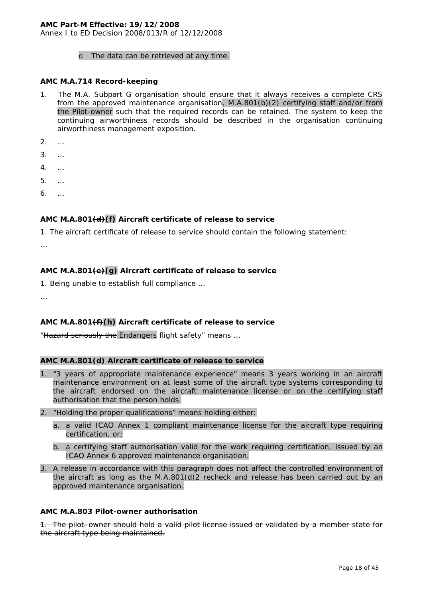Annex I to ED Decision 2008/013/R of 12/12/2008

#### o The data can be retrieved at any time.

#### **AMC M.A.714 Record-keeping**

- 1. The M.A. Subpart G organisation should ensure that it always receives a complete CRS from the approved maintenance organisation, M.A.801(b)(2) certifying staff and/or from the Pilot-owner such that the required records can be retained. The system to keep the continuing airworthiness records should be described in the organisation continuing airworthiness management exposition.
- 2. …
- 3. …
- 4. …
- 5. …
- 6. …

## **AMC M.A.801(d)(f) Aircraft certificate of release to service**

1. The aircraft certificate of release to service should contain the following statement:

…

# **AMC M.A.801(e)(g) Aircraft certificate of release to service**

1. Being unable to establish full compliance …

…

## **AMC M.A.801(f)(h) Aircraft certificate of release to service**

"Hazard seriously the Endangers flight safety" means …

#### **AMC M.A.801(d) Aircraft certificate of release to service**

- 1. "3 years of appropriate maintenance experience" means 3 years working in an aircraft maintenance environment on at least some of the aircraft type systems corresponding to the aircraft endorsed on the aircraft maintenance license or on the certifying staff authorisation that the person holds.
- 2. "Holding the proper qualifications" means holding either:
	- a. a valid ICAO Annex 1 compliant maintenance license for the aircraft type requiring certification, or;
	- b. a certifying staff authorisation valid for the work requiring certification, issued by an ICAO Annex 6 approved maintenance organisation.
- 3. A release in accordance with this paragraph does not affect the controlled environment of the aircraft as long as the M.A.801(d)2 recheck and release has been carried out by an approved maintenance organisation.

#### **AMC M.A.803 Pilot-owner authorisation**

1. The pilot–owner should hold a valid pilot license issued or validated by a member state for the aircraft type being maintained.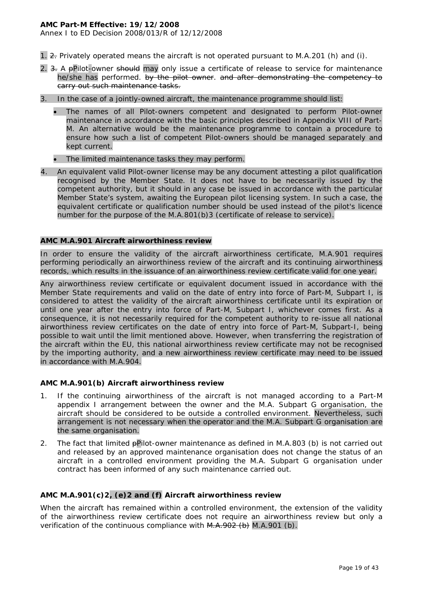Annex I to ED Decision 2008/013/R of 12/12/2008

- 1. 2. Privately operated means the aircraft is not operated pursuant to M.A.201 (h) and (i).
- 2. 3. A pPilot-owner should may only issue a certificate of release to service for maintenance he/she has performed. by the pilot owner, and after demonstrating the competency to carry out such maintenance tasks.
- 3. In the case of a jointly-owned aircraft, the maintenance programme should list:
	- The names of all Pilot-owners competent and designated to perform Pilot-owner maintenance in accordance with the basic principles described in Appendix VIII of Part-M. An alternative would be the maintenance programme to contain a procedure to ensure how such a list of competent Pilot-owners should be managed separately and kept current.
	- The limited maintenance tasks they may perform.
- 4. An equivalent valid Pilot-owner license may be any document attesting a pilot qualification recognised by the Member State. It does not have to be necessarily issued by the competent authority, but it should in any case be issued in accordance with the particular Member State's system, awaiting the European pilot licensing system. In such a case, the equivalent certificate or qualification number should be used instead of the pilot's licence number for the purpose of the M.A.801(b)3 (certificate of release to service).

#### **AMC M.A.901 Aircraft airworthiness review**

In order to ensure the validity of the aircraft airworthiness certificate, M.A.901 requires performing periodically an airworthiness review of the aircraft and its continuing airworthiness records, which results in the issuance of an airworthiness review certificate valid for one year.

Any airworthiness review certificate or equivalent document issued in accordance with the Member State requirements and valid on the date of entry into force of Part-M, Subpart I, is considered to attest the validity of the aircraft airworthiness certificate until its expiration or until one year after the entry into force of Part-M, Subpart I, whichever comes first. As a consequence, it is not necessarily required for the competent authority to re-issue all national airworthiness review certificates on the date of entry into force of Part-M, Subpart-I, being possible to wait until the limit mentioned above. However, when transferring the registration of the aircraft within the EU, this national airworthiness review certificate may not be recognised by the importing authority, and a new airworthiness review certificate may need to be issued in accordance with M.A.904.

#### **AMC M.A.901(b) Aircraft airworthiness review**

- 1. If the continuing airworthiness of the aircraft is not managed according to a Part-M appendix I arrangement between the owner and the M.A. Subpart G organisation, the aircraft should be considered to be outside a controlled environment. Nevertheless, such arrangement is not necessary when the operator and the M.A. Subpart G organisation are the same organisation.
- 2. The fact that limited pPilot-owner maintenance as defined in M.A.803 (b) is not carried out and released by an approved maintenance organisation does not change the status of an aircraft in a controlled environment providing the M.A. Subpart G organisation under contract has been informed of any such maintenance carried out.

#### **AMC M.A.901(c)2, (e)2 and (f) Aircraft airworthiness review**

When the aircraft has remained within a controlled environment, the extension of the validity of the airworthiness review certificate does not require an airworthiness review but only a verification of the continuous compliance with  $M.A.902$  (b)  $M.A.901$  (b).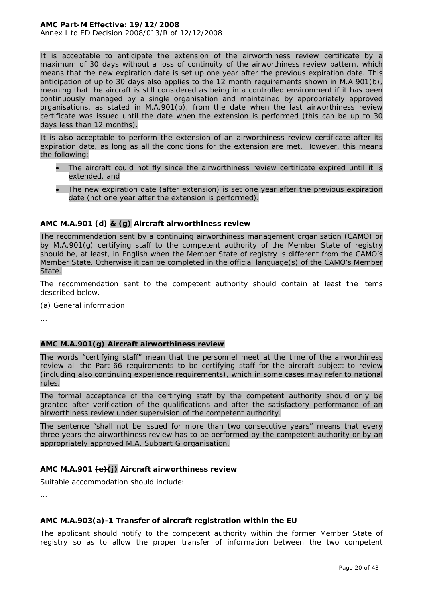It is acceptable to anticipate the extension of the airworthiness review certificate by a maximum of 30 days without a loss of continuity of the airworthiness review pattern, which means that the new expiration date is set up one year after the previous expiration date. This anticipation of up to 30 days also applies to the 12 month requirements shown in M.A.901(b), meaning that the aircraft is still considered as being in a controlled environment if it has been continuously managed by a single organisation and maintained by appropriately approved organisations, as stated in M.A.901(b), from the date when the last airworthiness review certificate was issued until the date when the extension is performed (this can be up to 30 days less than 12 months).

It is also acceptable to perform the extension of an airworthiness review certificate after its expiration date, as long as all the conditions for the extension are met. However, this means the following:

- The aircraft could not fly since the airworthiness review certificate expired until it is extended, and
- The new expiration date (after extension) is set one year after the previous expiration date (not one year after the extension is performed).

# **AMC M.A.901 (d) & (g) Aircraft airworthiness review**

The recommendation sent by a continuing airworthiness management organisation (CAMO) or by M.A.901(g) certifying staff to the competent authority of the Member State of registry should be, at least, in English when the Member State of registry is different from the CAMO's Member State. Otherwise it can be completed in the official language(s) of the CAMO's Member State.

The recommendation sent to the competent authority should contain at least the items described below.

(a) General information

…

# **AMC M.A.901(g) Aircraft airworthiness review**

The words "certifying staff" mean that the personnel meet at the time of the airworthiness review all the Part-66 requirements to be certifying staff for the aircraft subject to review (including also continuing experience requirements), which in some cases may refer to national rules.

The formal acceptance of the certifying staff by the competent authority should only be granted after verification of the qualifications and after the satisfactory performance of an airworthiness review under supervision of the competent authority.

The sentence "shall not be issued for more than two consecutive years" means that every three years the airworthiness review has to be performed by the competent authority or by an appropriately approved M.A. Subpart G organisation.

# **AMC M.A.901 (e)(j) Aircraft airworthiness review**

Suitable accommodation should include:

…

# **AMC M.A.903(a)-1 Transfer of aircraft registration within the EU**

The applicant should notify to the competent authority within the former Member State of registry so as to allow the proper transfer of information between the two competent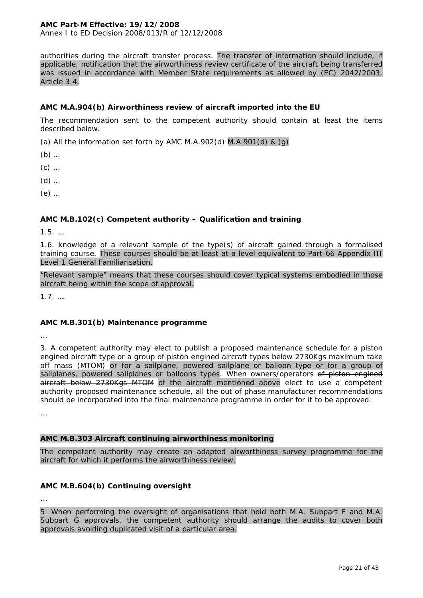Annex I to ED Decision 2008/013/R of 12/12/2008

authorities during the aircraft transfer process. The transfer of information should include, if applicable, notification that the airworthiness review certificate of the aircraft being transferred was issued in accordance with Member State requirements as allowed by (EC) 2042/2003, Article 3.4.

## **AMC M.A.904(b) Airworthiness review of aircraft imported into the EU**

The recommendation sent to the competent authority should contain at least the items described below.

(a) All the information set forth by AMC  $M.A.902(d)$   $M.A.901(d)$  &  $(g)$ 

- (b) …
- (c) …
- (d) …
- (e) …

# **AMC M.B.102(c) Competent authority – Qualification and training**

1.5. ….

1.6. knowledge of a relevant sample of the type(s) of aircraft gained through a formalised training course. These courses should be at least at a level equivalent to Part-66 Appendix III Level 1 General Familiarisation.

"Relevant sample" means that these courses should cover typical systems embodied in those aircraft being within the scope of approval.

1.7. ….

## **AMC M.B.301(b) Maintenance programme**

…

3. A competent authority may elect to publish a proposed maintenance schedule for a piston engined aircraft type or a group of piston engined aircraft types below 2730Kgs maximum take off mass (MTOM) or for a sailplane, powered sailplane or balloon type or for a group of sailplanes, powered sailplanes or balloons types. When owners/operators of piston engined aircraft below 2730Kgs MTOM of the aircraft mentioned above elect to use a competent authority proposed maintenance schedule, all the out of phase manufacturer recommendations should be incorporated into the final maintenance programme in order for it to be approved.

…

# **AMC M.B.303 Aircraft continuing airworthiness monitoring**

The competent authority may create an adapted airworthiness survey programme for the aircraft for which it performs the airworthiness review.

# **AMC M.B.604(b) Continuing oversight**

…

5. When performing the oversight of organisations that hold both M.A. Subpart F and M.A. Subpart G approvals, the competent authority should arrange the audits to cover both approvals avoiding duplicated visit of a particular area.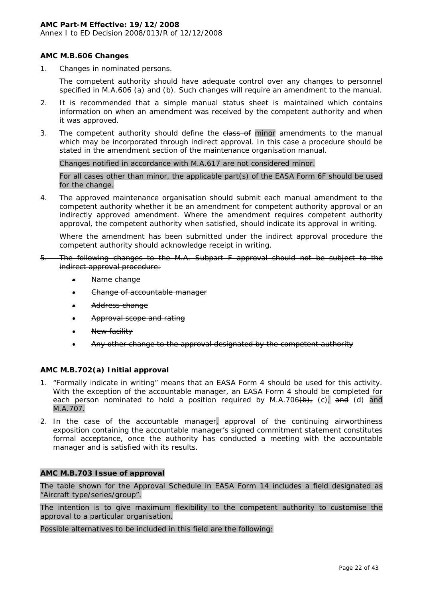Annex I to ED Decision 2008/013/R of 12/12/2008

## **AMC M.B.606 Changes**

1. Changes in nominated persons.

The competent authority should have adequate control over any changes to personnel specified in M.A.606 (a) and (b). Such changes will require an amendment to the manual.

- 2. It is recommended that a simple manual status sheet is maintained which contains information on when an amendment was received by the competent authority and when it was approved.
- 3. The competent authority should define the class of minor amendments to the manual which may be incorporated through indirect approval. In this case a procedure should be stated in the amendment section of the maintenance organisation manual.

Changes notified in accordance with M.A.617 are not considered minor.

For all cases other than minor, the applicable part(s) of the EASA Form 6F should be used for the change.

4. The approved maintenance organisation should submit each manual amendment to the competent authority whether it be an amendment for competent authority approval or an indirectly approved amendment. Where the amendment requires competent authority approval, the competent authority when satisfied, should indicate its approval in writing.

Where the amendment has been submitted under the indirect approval procedure the competent authority should acknowledge receipt in writing.

- 5. The following changes to the M.A. Subpart F approval should not be subject to the indirect approval procedure:
	- Name change
	- Change of accountable manager
	- Address change
	- Approval scope and rating
	- New facility
	- Any other change to the approval designated by the competent authority

## **AMC M.B.702(a) Initial approval**

- 1. "Formally indicate in writing" means that an EASA Form 4 should be used for this activity. With the exception of the accountable manager, an EASA Form 4 should be completed for each person nominated to hold a position required by M.A.706 $(b)$ , (c), and (d) and M.A.707.
- 2. In the case of the accountable manager, approval of the continuing airworthiness exposition containing the accountable manager's signed commitment statement constitutes formal acceptance, once the authority has conducted a meeting with the accountable manager and is satisfied with its results.

#### **AMC M.B.703 Issue of approval**

The table shown for the Approval Schedule in EASA Form 14 includes a field designated as "Aircraft type/series/group".

The intention is to give maximum flexibility to the competent authority to customise the approval to a particular organisation.

Possible alternatives to be included in this field are the following: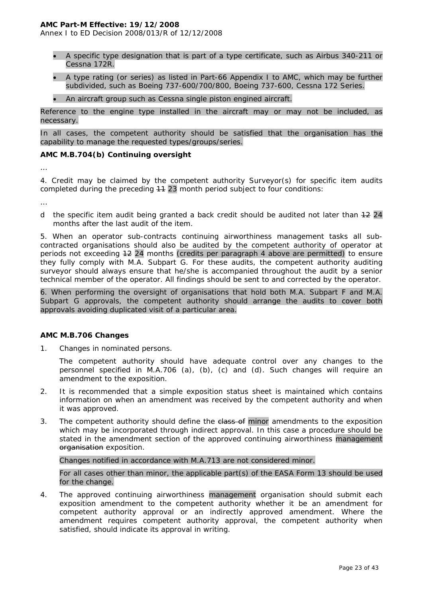Annex I to ED Decision 2008/013/R of 12/12/2008

- A specific type designation that is part of a type certificate, such as Airbus 340-211 or Cessna 172R.
- A type rating (or series) as listed in Part-66 Appendix I to AMC, which may be further subdivided, such as Boeing 737-600/700/800, Boeing 737-600, Cessna 172 Series.
- An aircraft group such as Cessna single piston engined aircraft.

Reference to the engine type installed in the aircraft may or may not be included, as necessary.

In all cases, the competent authority should be satisfied that the organisation has the capability to manage the requested types/groups/series.

## **AMC M.B.704(b) Continuing oversight**

…

4. Credit may be claimed by the competent authority Surveyor(s) for specific item audits completed during the preceding 44 23 month period subject to four conditions:

…

d the specific item audit being granted a back credit should be audited not later than  $+2$  24 months after the last audit of the item.

5. When an operator sub-contracts continuing airworthiness management tasks all subcontracted organisations should also be audited by the competent authority of operator at periods not exceeding 12 24 months (credits per paragraph 4 above are permitted) to ensure they fully comply with M.A. Subpart G. For these audits, the competent authority auditing surveyor should always ensure that he/she is accompanied throughout the audit by a senior technical member of the operator. All findings should be sent to and corrected by the operator.

6. When performing the oversight of organisations that hold both M.A. Subpart F and M.A. Subpart G approvals, the competent authority should arrange the audits to cover both approvals avoiding duplicated visit of a particular area.

## **AMC M.B.706 Changes**

1. Changes in nominated persons.

The competent authority should have adequate control over any changes to the personnel specified in M.A.706 (a), (b), (c) and (d). Such changes will require an amendment to the exposition.

- 2. It is recommended that a simple exposition status sheet is maintained which contains information on when an amendment was received by the competent authority and when it was approved.
- 3. The competent authority should define the class of minor amendments to the exposition which may be incorporated through indirect approval. In this case a procedure should be stated in the amendment section of the approved continuing airworthiness management organisation exposition.

Changes notified in accordance with M.A.713 are not considered minor.

For all cases other than minor, the applicable part(s) of the EASA Form 13 should be used for the change.

4. The approved continuing airworthiness management organisation should submit each exposition amendment to the competent authority whether it be an amendment for competent authority approval or an indirectly approved amendment. Where the amendment requires competent authority approval, the competent authority when satisfied, should indicate its approval in writing.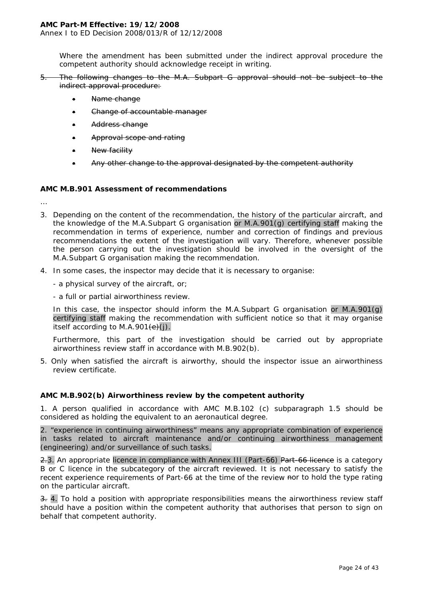Annex I to ED Decision 2008/013/R of 12/12/2008

Where the amendment has been submitted under the indirect approval procedure the competent authority should acknowledge receipt in writing.

5. The following changes to the M.A. Subpart G approval should not be subject to the indirect approval procedure:

- Name change
- Change of accountable manager
- Address change
- Approval scope and rating
- New facility
- Any other change to the approval designated by the competent authority

#### **AMC M.B.901 Assessment of recommendations**

…

- 3. Depending on the content of the recommendation, the history of the particular aircraft, and the knowledge of the M.A.Subpart G organisation or M.A.901(g) certifying staff making the recommendation in terms of experience, number and correction of findings and previous recommendations the extent of the investigation will vary. Therefore, whenever possible the person carrying out the investigation should be involved in the oversight of the M.A.Subpart G organisation making the recommendation.
- 4. In some cases, the inspector may decide that it is necessary to organise:
	- a physical survey of the aircraft, or;
	- a full or partial airworthiness review.

In this case, the inspector should inform the M.A.Subpart G organisation or M.A.901(g) certifying staff making the recommendation with sufficient notice so that it may organise itself according to M.A.901 $\left(\frac{e}{c}\right)$ .

Furthermore, this part of the investigation should be carried out by appropriate airworthiness review staff in accordance with M.B.902(b).

5. Only when satisfied the aircraft is airworthy, should the inspector issue an airworthiness review certificate.

## **AMC M.B.902(b) Airworthiness review by the competent authority**

1. A person qualified in accordance with AMC M.B.102 (c) subparagraph 1.5 should be considered as holding the equivalent to an aeronautical degree.

2. "experience in continuing airworthiness" means any appropriate combination of experience in tasks related to aircraft maintenance and/or continuing airworthiness management (engineering) and/or surveillance of such tasks.

2.3. An appropriate licence in compliance with Annex III (Part-66) Part-66 licence is a category B or C licence in the subcategory of the aircraft reviewed. It is not necessary to satisfy the recent experience requirements of Part-66 at the time of the review nor to hold the type rating on the particular aircraft.

3. 4. To hold a position with appropriate responsibilities means the airworthiness review staff should have a position within the competent authority that authorises that person to sign on behalf that competent authority.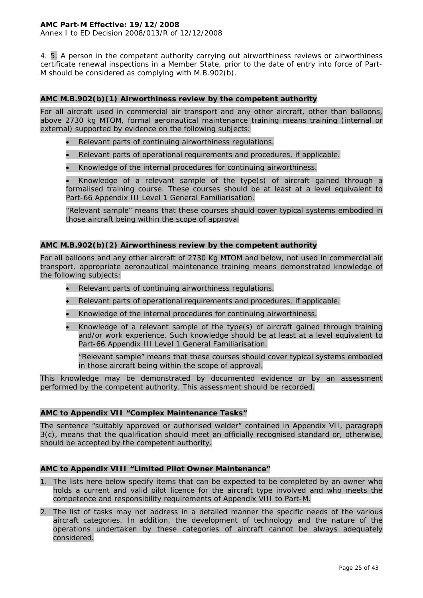4. 5. A person in the competent authority carrying out airworthiness reviews or airworthiness certificate renewal inspections in a Member State, prior to the date of entry into force of Part-M should be considered as complying with M.B.902(b).

# **AMC M.B.902(b)(1) Airworthiness review by the competent authority**

For all aircraft used in commercial air transport and any other aircraft, other than balloons, above 2730 kg MTOM, formal aeronautical maintenance training means training (internal or external) supported by evidence on the following subjects:

- Relevant parts of continuing airworthiness regulations.
- Relevant parts of operational requirements and procedures, if applicable.
- Knowledge of the internal procedures for continuing airworthiness.

• Knowledge of a relevant sample of the type(s) of aircraft gained through a formalised training course. These courses should be at least at a level equivalent to Part-66 Appendix III Level 1 General Familiarisation.

"Relevant sample" means that these courses should cover typical systems embodied in those aircraft being within the scope of approval

## **AMC M.B.902(b)(2) Airworthiness review by the competent authority**

For all balloons and any other aircraft of 2730 Kg MTOM and below, not used in commercial air transport, appropriate aeronautical maintenance training means demonstrated knowledge of the following subjects:

- Relevant parts of continuing airworthiness regulations.
- Relevant parts of operational requirements and procedures, if applicable.
- Knowledge of the internal procedures for continuing airworthiness.
- Knowledge of a relevant sample of the type(s) of aircraft gained through training and/or work experience. Such knowledge should be at least at a level equivalent to Part-66 Appendix III Level 1 General Familiarisation.

"Relevant sample" means that these courses should cover typical systems embodied in those aircraft being within the scope of approval.

This knowledge may be demonstrated by documented evidence or by an assessment performed by the competent authority. This assessment should be recorded.

# **AMC to Appendix VII "Complex Maintenance Tasks"**

The sentence "suitably approved or authorised welder" contained in Appendix VII, paragraph 3(c), means that the qualification should meet an officially recognised standard or, otherwise, should be accepted by the competent authority.

## **AMC to Appendix VIII "Limited Pilot Owner Maintenance"**

- 1. The lists here below specify items that can be expected to be completed by an owner who holds a current and valid pilot licence for the aircraft type involved and who meets the competence and responsibility requirements of Appendix VIII to Part-M.
- 2. The list of tasks may not address in a detailed manner the specific needs of the various aircraft categories. In addition, the development of technology and the nature of the operations undertaken by these categories of aircraft cannot be always adequately considered.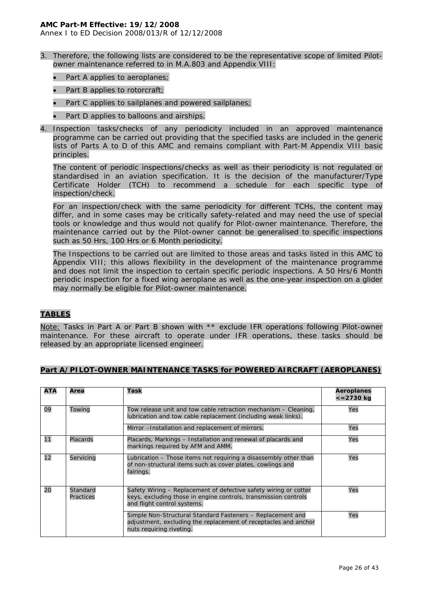Annex I to ED Decision 2008/013/R of 12/12/2008

- 3. Therefore, the following lists are considered to be the representative scope of limited Pilotowner maintenance referred to in M.A.803 and Appendix VIII:
	- Part A applies to aeroplanes;
	- Part B applies to rotorcraft;
	- Part C applies to sailplanes and powered sailplanes;
	- Part D applies to balloons and airships.
- 4. Inspection tasks/checks of any periodicity included in an approved maintenance programme can be carried out providing that the specified tasks are included in the generic lists of Parts A to D of this AMC and remains compliant with Part-M Appendix VIII basic principles.

The content of periodic inspections/checks as well as their periodicity is not regulated or standardised in an aviation specification. It is the decision of the manufacturer/Type Certificate Holder (TCH) to recommend a schedule for each specific type of inspection/check.

For an inspection/check with the same periodicity for different TCHs, the content may differ, and in some cases may be critically safety-related and may need the use of special tools or knowledge and thus would not qualify for Pilot-owner maintenance. Therefore, the maintenance carried out by the Pilot-owner cannot be generalised to specific inspections such as 50 Hrs, 100 Hrs or 6 Month periodicity.

The Inspections to be carried out are limited to those areas and tasks listed in this AMC to Appendix VIII; this allows flexibility in the development of the maintenance programme and does not limit the inspection to certain specific periodic inspections. A 50 Hrs/6 Month periodic inspection for a fixed wing aeroplane as well as the one-year inspection on a glider may normally be eligible for Pilot-owner maintenance.

## **TABLES**

Note: Tasks in Part A or Part B shown with \*\* exclude IFR operations following Pilot-owner maintenance. For these aircraft to operate under IFR operations, these tasks should be released by an appropriate licensed engineer.

|  | Part A/PILOT-OWNER MAINTENANCE TASKS for POWERED AIRCRAFT (AEROPLANES) |  |  |
|--|------------------------------------------------------------------------|--|--|
|--|------------------------------------------------------------------------|--|--|

| ATA | Area                                                                                                                                       | Task                                                                                                                                                               | Aeroplanes<br>$\epsilon = 2730$ kg |
|-----|--------------------------------------------------------------------------------------------------------------------------------------------|--------------------------------------------------------------------------------------------------------------------------------------------------------------------|------------------------------------|
| 09  | Towing<br>Tow release unit and tow cable retraction mechanism – Cleaning,<br>lubrication and tow cable replacement (including weak links). |                                                                                                                                                                    | Yes                                |
|     |                                                                                                                                            | Mirror -Installation and replacement of mirrors.                                                                                                                   | Yes                                |
| 11  | Placards                                                                                                                                   | Placards, Markings – Installation and renewal of placards and<br>markings required by AFM and AMM.                                                                 | Yes                                |
| 12  | Servicing                                                                                                                                  | Lubrication – Those items not requiring a disassembly other than<br>of non-structural items such as cover plates, cowlings and<br>fairings.                        | Yes                                |
| 20  | Standard<br>Practices                                                                                                                      | Safety Wiring – Replacement of defective safety wiring or cotter<br>keys, excluding those in engine controls, transmission controls<br>and flight control systems. | Yes                                |
|     |                                                                                                                                            | Simple Non-Structural Standard Fasteners – Replacement and<br>adjustment, excluding the replacement of receptacles and anchor<br>nuts requiring riveting.          | Yes                                |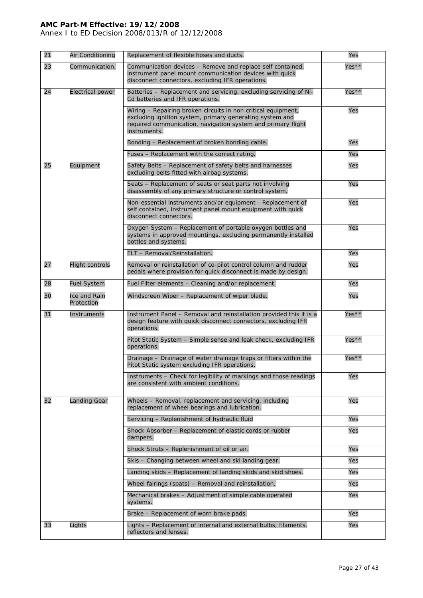Annex I to ED Decision 2008/013/R of 12/12/2008

| 21 | Air Conditioning           | Replacement of flexible hoses and ducts.                                                                                                                                                                  | Yes     |
|----|----------------------------|-----------------------------------------------------------------------------------------------------------------------------------------------------------------------------------------------------------|---------|
| 23 | Communication.             | Communication devices - Remove and replace self contained,<br>instrument panel mount communication devices with quick<br>disconnect connectors, excluding IFR operations.                                 | Yes**   |
| 24 | <b>Electrical power</b>    | Batteries - Replacement and servicing, excluding servicing of Ni-<br>Cd batteries and IFR operations.                                                                                                     | Yes**   |
|    |                            | Wiring - Repairing broken circuits in non critical equipment,<br>excluding ignition system, primary generating system and<br>required communication, navigation system and primary flight<br>instruments. | Yes     |
|    |                            | Bonding – Replacement of broken bonding cable.                                                                                                                                                            | Yes     |
|    |                            | Fuses - Replacement with the correct rating.                                                                                                                                                              | Yes     |
| 25 | Equipment                  | Safety Belts - Replacement of safety belts and harnesses<br>excluding belts fitted with airbag systems.                                                                                                   | Yes     |
|    |                            | Seats - Replacement of seats or seat parts not involving<br>disassembly of any primary structure or control system.                                                                                       | Yes     |
|    |                            | Non-essential instruments and/or equipment - Replacement of<br>self contained, instrument panel mount equipment with quick<br>disconnect connectors.                                                      | Yes     |
|    |                            | Oxygen System - Replacement of portable oxygen bottles and<br>systems in approved mountings, excluding permanently installed<br>bottles and systems.                                                      | Yes     |
|    |                            | ELT - Removal/Reinstallation.                                                                                                                                                                             | Yes     |
| 27 | <b>Flight controls</b>     | Removal or reinstallation of co-pilot control column and rudder<br>pedals where provision for quick disconnect is made by design.                                                                         | Yes     |
| 28 | <b>Fuel System</b>         | Fuel Filter elements - Cleaning and/or replacement.                                                                                                                                                       | Yes     |
| 30 | Ice and Rain<br>Protection | Windscreen Wiper - Replacement of wiper blade.                                                                                                                                                            | Yes     |
| 31 | Instruments                | Instrument Panel - Removal and reinstallation provided this it is a<br>design feature with quick disconnect connectors, excluding IFR<br>operations.                                                      | $Yes**$ |
|    |                            | Pitot Static System - Simple sense and leak check, excluding IFR<br>operations.                                                                                                                           | Yes**   |
|    |                            | Drainage - Drainage of water drainage traps or filters within the<br>Pitot Static system excluding IFR operations.                                                                                        | Yes**   |
|    |                            | Instruments - Check for legibility of markings and those readings<br>are consistent with ambient conditions.                                                                                              | Yes     |
| 32 | <b>Landing Gear</b>        | Wheels - Removal, replacement and servicing, including<br>replacement of wheel bearings and lubrication.                                                                                                  | Yes     |
|    |                            | Servicing - Replenishment of hydraulic fluid                                                                                                                                                              | Yes     |
|    |                            | Shock Absorber - Replacement of elastic cords or rubber<br>dampers.                                                                                                                                       | Yes     |
|    |                            | Shock Struts - Replenishment of oil or air.                                                                                                                                                               | Yes     |
|    |                            | Skis - Changing between wheel and ski landing gear.                                                                                                                                                       | Yes     |
|    |                            | Landing skids - Replacement of landing skids and skid shoes.                                                                                                                                              | Yes     |
|    |                            | Wheel fairings (spats) - Removal and reinstallation.                                                                                                                                                      | Yes     |
|    |                            | Mechanical brakes - Adjustment of simple cable operated<br>systems.                                                                                                                                       | Yes     |
|    |                            | Brake - Replacement of worn brake pads.                                                                                                                                                                   | Yes     |
| 33 | Lights                     | Lights - Replacement of internal and external bulbs, filaments,<br>reflectors and lenses.                                                                                                                 | Yes     |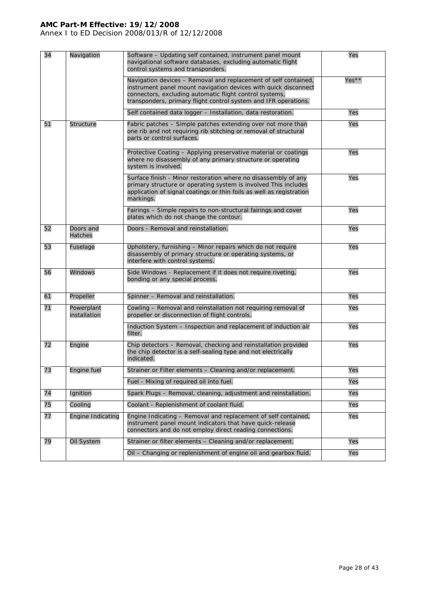Annex I to ED Decision 2008/013/R of 12/12/2008

| 34 | Navigation                 | Software - Updating self contained, instrument panel mount<br>navigational software databases, excluding automatic flight<br>control systems and transponders.                                                                                                   | Yes   |
|----|----------------------------|------------------------------------------------------------------------------------------------------------------------------------------------------------------------------------------------------------------------------------------------------------------|-------|
|    |                            | Navigation devices - Removal and replacement of self contained,<br>instrument panel mount navigation devices with quick disconnect<br>connectors, excluding automatic flight control systems,<br>transponders, primary flight control system and IFR operations. | Yes** |
|    |                            | Self contained data logger - Installation, data restoration.                                                                                                                                                                                                     | Yes   |
| 51 | <b>Structure</b>           | Fabric patches - Simple patches extending over not more than<br>one rib and not requiring rib stitching or removal of structural<br>parts or control surfaces.                                                                                                   | Yes   |
|    |                            | Protective Coating – Applying preservative material or coatings<br>where no disassembly of any primary structure or operating<br>system is involved.                                                                                                             | Yes   |
|    |                            | Surface finish - Minor restoration where no disassembly of any<br>primary structure or operating system is involved This includes<br>application of signal coatings or thin foils as well as registration<br>markings.                                           | Yes   |
|    |                            | Fairings - Simple repairs to non-structural fairings and cover<br>plates which do not change the contour.                                                                                                                                                        | Yes   |
| 52 | Doors and<br>Hatches       | Doors - Removal and reinstallation.                                                                                                                                                                                                                              | Yes   |
| 53 | Fuselage                   | Upholstery, furnishing - Minor repairs which do not require<br>disassembly of primary structure or operating systems, or<br>interfere with control systems.                                                                                                      | Yes   |
| 56 | Windows                    | Side Windows - Replacement if it does not require riveting,<br>bonding or any special process.                                                                                                                                                                   | Yes   |
| 61 | Propeller                  | Spinner - Removal and reinstallation.                                                                                                                                                                                                                            | Yes   |
| 71 | Powerplant<br>installation | Cowling - Removal and reinstallation not requiring removal of<br>propeller or disconnection of flight controls.                                                                                                                                                  | Yes   |
|    |                            | Induction System - Inspection and replacement of induction air<br>filter.                                                                                                                                                                                        | Yes   |
| 72 | Engine                     | Chip detectors - Removal, checking and reinstallation provided<br>the chip detector is a self-sealing type and not electrically<br>indicated.                                                                                                                    | Yes   |
| 73 | Engine fuel                | Strainer or Filter elements - Cleaning and/or replacement.                                                                                                                                                                                                       | Yes   |
|    |                            | Fuel - Mixing of required oil into fuel.                                                                                                                                                                                                                         | Yes   |
| 74 | Ignition                   | Spark Plugs - Removal, cleaning, adjustment and reinstallation.                                                                                                                                                                                                  | Yes   |
| 75 | Cooling                    | Coolant - Replenishment of coolant fluid.                                                                                                                                                                                                                        | Yes   |
| 77 | <b>Engine Indicating</b>   | Engine Indicating - Removal and replacement of self contained,<br>instrument panel mount indicators that have quick-release<br>connectors and do not employ direct reading connections.                                                                          | Yes   |
| 79 | Oil System                 | Strainer or filter elements - Cleaning and/or replacement.                                                                                                                                                                                                       | Yes   |
|    |                            | Oil - Changing or replenishment of engine oil and gearbox fluid.                                                                                                                                                                                                 | Yes   |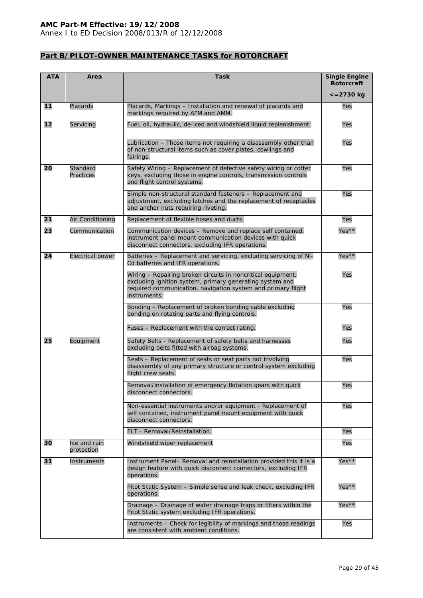Annex I to ED Decision 2008/013/R of 12/12/2008

# **Part B/PILOT-OWNER MAINTENANCE TASKS for ROTORCRAFT**

| <b>ATA</b> | Area                       | <b>Task</b>                                                                                                                                                                                              | <b>Single Engine</b><br><b>Rotorcraft</b> |
|------------|----------------------------|----------------------------------------------------------------------------------------------------------------------------------------------------------------------------------------------------------|-------------------------------------------|
|            |                            |                                                                                                                                                                                                          | $\epsilon = 2730$ kg                      |
| 11         | Placards                   | Placards, Markings - Installation and renewal of placards and<br>markings required by AFM and AMM.                                                                                                       | Yes                                       |
| 12         | Servicing                  | Fuel, oil, hydraulic, de-iced and windshield liquid replenishment.                                                                                                                                       | Yes                                       |
|            |                            | Lubrication - Those items not requiring a disassembly other than<br>of non-structural items such as cover plates, cowlings and<br>fairings.                                                              | Yes                                       |
| 20         | Standard<br>Practices      | Safety Wiring - Replacement of defective safety wiring or cotter<br>keys, excluding those in engine controls, transmission controls<br>and flight control systems.                                       | Yes                                       |
|            |                            | Simple non-structural standard fasteners - Replacement and<br>adjustment, excluding latches and the replacement of receptacles<br>and anchor nuts requiring riveting.                                    | Yes                                       |
| 21         | Air Conditioning           | Replacement of flexible hoses and ducts.                                                                                                                                                                 | Yes                                       |
| 23         | Communication              | Communication devices - Remove and replace self contained,<br>instrument panel mount communication devices with quick<br>disconnect connectors, excluding IFR operations.                                | Yes**                                     |
| 24         | <b>Electrical power</b>    | Batteries - Replacement and servicing, excluding servicing of Ni-<br>Cd batteries and IFR operations.                                                                                                    | Yes**                                     |
|            |                            | Wiring - Repairing broken circuits in noncritical equipment,<br>excluding ignition system, primary generating system and<br>required communication, navigation system and primary flight<br>instruments. | Yes                                       |
|            |                            | Bonding - Replacement of broken bonding cable excluding<br>bonding on rotating parts and flying controls.                                                                                                | Yes                                       |
|            |                            | Fuses - Replacement with the correct rating.                                                                                                                                                             | Yes                                       |
| 25         | Equipment                  | Safety Belts - Replacement of safety belts and harnesses<br>excluding belts fitted with airbag systems.                                                                                                  | Yes                                       |
|            |                            | Seats - Replacement of seats or seat parts not involving<br>disassembly of any primary structure or control system excluding<br>flight crew seats.                                                       | Yes                                       |
|            |                            | Removal/installation of emergency flotation gears with quick<br>disconnect connectors.                                                                                                                   | Yes                                       |
|            |                            | Non-essential instruments and/or equipment - Replacement of<br>self contained, instrument panel mount equipment with quick<br>disconnect connectors.                                                     | Yes                                       |
|            |                            | ELT - Removal/Reinstallation.                                                                                                                                                                            | Yes                                       |
| 30         | Ice and rain<br>protection | Windshield wiper replacement                                                                                                                                                                             | Yes                                       |
| 31         | Instruments                | Instrument Panel- Removal and reinstallation provided this it is a<br>design feature with quick disconnect connectors, excluding IFR<br>operations.                                                      | $Yes**$                                   |
|            |                            | Pitot Static System - Simple sense and leak check, excluding IFR<br>operations.                                                                                                                          | Yes**                                     |
|            |                            | Drainage - Drainage of water drainage traps or filters within the<br>Pitot Static system excluding IFR operations.                                                                                       | Yes**                                     |
|            |                            | Instruments - Check for legibility of markings and those readings<br>are consistent with ambient conditions.                                                                                             | Yes                                       |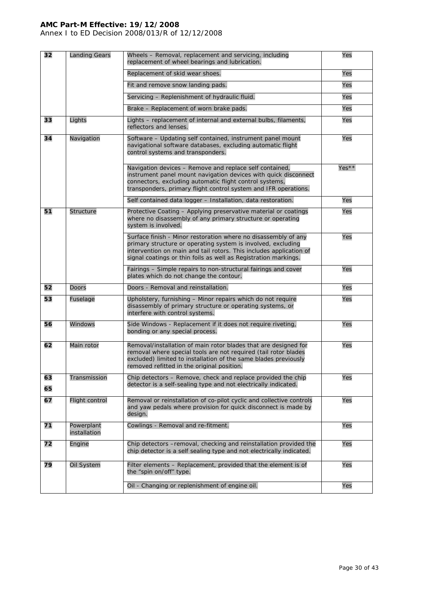Annex I to ED Decision 2008/013/R of 12/12/2008

| 32       | <b>Landing Gears</b>       | Wheels - Removal, replacement and servicing, including<br>replacement of wheel bearings and lubrication.                                                                                                                                                                | Yes     |
|----------|----------------------------|-------------------------------------------------------------------------------------------------------------------------------------------------------------------------------------------------------------------------------------------------------------------------|---------|
|          |                            | Replacement of skid wear shoes.                                                                                                                                                                                                                                         | Yes     |
|          |                            | Fit and remove snow landing pads.                                                                                                                                                                                                                                       | Yes     |
|          |                            | Servicing - Replenishment of hydraulic fluid.                                                                                                                                                                                                                           | Yes     |
|          |                            | Brake – Replacement of worn brake pads.                                                                                                                                                                                                                                 | Yes     |
| 33       | Lights                     | Lights - replacement of internal and external bulbs, filaments,<br>reflectors and lenses.                                                                                                                                                                               | Yes     |
| 34       | Navigation                 | Software - Updating self contained, instrument panel mount<br>navigational software databases, excluding automatic flight<br>control systems and transponders.                                                                                                          | Yes     |
|          |                            | Navigation devices - Remove and replace self contained,<br>instrument panel mount navigation devices with quick disconnect<br>connectors, excluding automatic flight control systems,<br>transponders, primary flight control system and IFR operations.                | $Yes**$ |
|          |                            | Self contained data logger - Installation, data restoration.                                                                                                                                                                                                            | Yes     |
| 51       | Structure                  | Protective Coating - Applying preservative material or coatings<br>where no disassembly of any primary structure or operating<br>system is involved.                                                                                                                    | Yes     |
|          |                            | Surface finish - Minor restoration where no disassembly of any<br>primary structure or operating system is involved, excluding<br>intervention on main and tail rotors. This includes application of<br>signal coatings or thin foils as well as Registration markings. | Yes     |
|          |                            | Fairings - Simple repairs to non-structural fairings and cover<br>plates which do not change the contour.                                                                                                                                                               | Yes     |
| 52       | Doors                      | Doors - Removal and reinstallation.                                                                                                                                                                                                                                     | Yes     |
| 53       | Fuselage                   | Upholstery, furnishing - Minor repairs which do not require<br>disassembly of primary structure or operating systems, or<br>interfere with control systems.                                                                                                             | Yes     |
| 56       | Windows                    | Side Windows - Replacement if it does not require riveting,<br>bonding or any special process.                                                                                                                                                                          | Yes     |
| 62       | Main rotor                 | Removal/installation of main rotor blades that are designed for<br>removal where special tools are not required (tail rotor blades<br>excluded) limited to installation of the same blades previously<br>removed refitted in the original position.                     | Yes     |
| 63<br>65 | Transmission               | Chip detectors - Remove, check and replace provided the chip<br>detector is a self-sealing type and not electrically indicated.                                                                                                                                         | Yes     |
| 67       | Flight control             | Removal or reinstallation of co-pilot cyclic and collective controls<br>and yaw pedals where provision for quick disconnect is made by<br>design.                                                                                                                       | Yes     |
| 71       | Powerplant<br>installation | Cowlings - Removal and re-fitment.                                                                                                                                                                                                                                      | Yes     |
| 72       | Engine                     | Chip detectors -removal, checking and reinstallation provided the<br>chip detector is a self sealing type and not electrically indicated.                                                                                                                               | Yes     |
| 79       | Oil System                 | Filter elements - Replacement, provided that the element is of<br>the "spin on/off" type.                                                                                                                                                                               | Yes     |
|          |                            | Oil - Changing or replenishment of engine oil.                                                                                                                                                                                                                          | Yes     |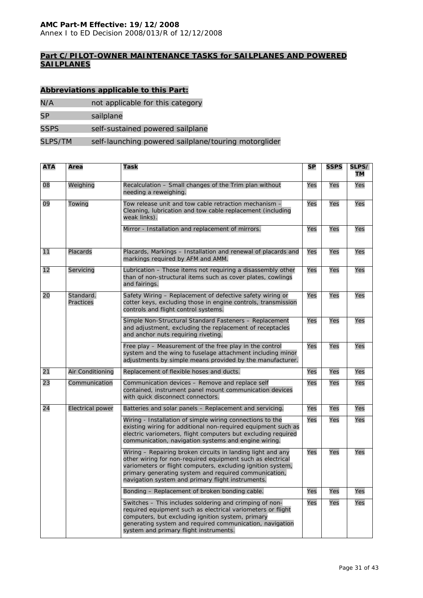Annex I to ED Decision 2008/013/R of 12/12/2008

# **Part C/PILOT-OWNER MAINTENANCE TASKS for SAILPLANES AND POWERED SAILPLANES**

# **Abbreviations applicable to this Part:**

- N/A not applicable for this category
- SP sailplane

SSPS self-sustained powered sailplane

#### SLPS/TM self-launching powered sailplane/touring motorglider

| <b>ATA</b> | Area                                                                                                                                                                                         | Task                                                                                                                                                                                                                                                                                                   | SP  | <b>SSPS</b> | SLPS/<br>ТM |
|------------|----------------------------------------------------------------------------------------------------------------------------------------------------------------------------------------------|--------------------------------------------------------------------------------------------------------------------------------------------------------------------------------------------------------------------------------------------------------------------------------------------------------|-----|-------------|-------------|
| 08         | Weighing                                                                                                                                                                                     | Recalculation - Small changes of the Trim plan without<br>needing a reweighing.                                                                                                                                                                                                                        | Yes | Yes         | Yes         |
| 09         | Towing                                                                                                                                                                                       | Tow release unit and tow cable retraction mechanism -<br>Cleaning, lubrication and tow cable replacement (including<br>weak links).                                                                                                                                                                    | Yes | Yes         | Yes         |
|            |                                                                                                                                                                                              | Mirror - Installation and replacement of mirrors.                                                                                                                                                                                                                                                      | Yes | Yes         | Yes         |
| 11         | Placards                                                                                                                                                                                     | Placards, Markings - Installation and renewal of placards and<br>markings required by AFM and AMM.                                                                                                                                                                                                     | Yes | Yes         | Yes         |
| 12         | Servicing                                                                                                                                                                                    | Lubrication - Those items not requiring a disassembly other<br>than of non-structural items such as cover plates, cowlings<br>and fairings.                                                                                                                                                            | Yes | Yes         | Yes         |
| 20         | Standard.<br>Safety Wiring - Replacement of defective safety wiring or<br>Practices<br>cotter keys, excluding those in engine controls, transmission<br>controls and flight control systems. |                                                                                                                                                                                                                                                                                                        | Yes | Yes         | Yes         |
|            |                                                                                                                                                                                              | Simple Non-Structural Standard Fasteners - Replacement<br>and adjustment, excluding the replacement of receptacles<br>and anchor nuts requiring riveting.                                                                                                                                              | Yes | Yes         | Yes         |
|            |                                                                                                                                                                                              | Free play - Measurement of the free play in the control<br>system and the wing to fuselage attachment including minor<br>adjustments by simple means provided by the manufacturer.                                                                                                                     | Yes | Yes         | Yes         |
| 21         | Air Conditioning                                                                                                                                                                             | Replacement of flexible hoses and ducts.                                                                                                                                                                                                                                                               | Yes | Yes         | Yes         |
| 23         | Communication                                                                                                                                                                                | Communication devices - Remove and replace self<br>contained, instrument panel mount communication devices<br>with quick disconnect connectors.                                                                                                                                                        | Yes | Yes         | Yes         |
| 24         | <b>Electrical power</b>                                                                                                                                                                      | Batteries and solar panels - Replacement and servicing.                                                                                                                                                                                                                                                | Yes | Yes         | Yes         |
|            |                                                                                                                                                                                              | Wiring - Installation of simple wiring connections to the<br>existing wiring for additional non-required equipment such as<br>electric variometers, flight computers but excluding required<br>communication, navigation systems and engine wiring.                                                    | Yes | Yes         | Yes         |
|            |                                                                                                                                                                                              | Wiring - Repairing broken circuits in landing light and any<br>other wiring for non-required equipment such as electrical<br>variometers or flight computers, excluding ignition system,<br>primary generating system and required communication,<br>navigation system and primary flight instruments. | Yes | Yes         | Yes         |
|            |                                                                                                                                                                                              | Bonding - Replacement of broken bonding cable.                                                                                                                                                                                                                                                         | Yes | Yes         | Yes         |
|            |                                                                                                                                                                                              | Switches - This includes soldering and crimping of non-<br>required equipment such as electrical variometers or flight<br>computers, but excluding ignition system, primary<br>generating system and required communication, navigation<br>system and primary flight instruments.                      | Yes | Yes         | Yes         |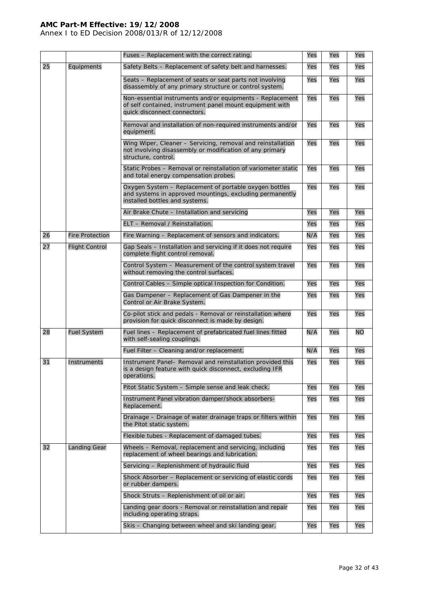Annex I to ED Decision 2008/013/R of 12/12/2008

|    |                        | Fuses - Replacement with the correct rating.                                                                                                          | Yes | Yes | Yes       |
|----|------------------------|-------------------------------------------------------------------------------------------------------------------------------------------------------|-----|-----|-----------|
| 25 | Equipments             | Safety Belts - Replacement of safety belt and harnesses.                                                                                              | Yes | Yes | Yes       |
|    |                        | Yes                                                                                                                                                   | Yes | Yes |           |
|    |                        | Non-essential instruments and/or equipments - Replacement<br>of self contained, instrument panel mount equipment with<br>quick disconnect connectors. | Yes | Yes | Yes       |
|    |                        | Removal and installation of non-required instruments and/or<br>equipment.                                                                             | Yes | Yes | Yes       |
|    |                        | Wing Wiper, Cleaner - Servicing, removal and reinstallation<br>not involving disassembly or modification of any primary<br>structure, control.        | Yes | Yes | Yes       |
|    |                        | Static Probes – Removal or reinstallation of variometer static<br>and total energy compensation probes.                                               | Yes | Yes | Yes       |
|    |                        | Oxygen System - Replacement of portable oxygen bottles<br>and systems in approved mountings, excluding permanently<br>installed bottles and systems.  | Yes | Yes | Yes       |
|    |                        | Air Brake Chute - Installation and servicing                                                                                                          | Yes | Yes | Yes       |
|    |                        | ELT - Removal / Reinstallation.                                                                                                                       | Yes | Yes | Yes       |
| 26 | <b>Fire Protection</b> | Fire Warning - Replacement of sensors and indicators.                                                                                                 | N/A | Yes | Yes       |
| 27 | <b>Flight Control</b>  | Gap Seals - Installation and servicing if it does not require<br>complete flight control removal.                                                     | Yes | Yes | Yes       |
|    |                        | Control System - Measurement of the control system travel<br>without removing the control surfaces.                                                   | Yes | Yes | Yes       |
|    |                        | Control Cables - Simple optical Inspection for Condition.                                                                                             | Yes | Yes | Yes       |
|    |                        | Gas Dampener - Replacement of Gas Dampener in the<br>Control or Air Brake System.                                                                     | Yes | Yes | Yes       |
|    |                        | Co-pilot stick and pedals - Removal or reinstallation where<br>provision for quick disconnect is made by design.                                      | Yes | Yes | Yes       |
| 28 | <b>Fuel System</b>     | Fuel lines - Replacement of prefabricated fuel lines fitted<br>with self-sealing couplings.                                                           | N/A | Yes | <b>NO</b> |
|    |                        | Fuel Filter - Cleaning and/or replacement.                                                                                                            | N/A | Yes | Yes       |
| 31 | Instruments            | Instrument Panel- Removal and reinstallation provided this<br>is a design feature with quick disconnect, excluding IFR<br>operations.                 | Yes | Yes | Yes       |
|    |                        | Pitot Static System - Simple sense and leak check.                                                                                                    | Yes | Yes | Yes       |
|    |                        | Instrument Panel vibration damper/shock absorbers-<br>Replacement.                                                                                    | Yes | Yes | Yes       |
|    |                        | Drainage - Drainage of water drainage traps or filters within<br>the Pitot static system.                                                             | Yes | Yes | Yes       |
|    |                        | Flexible tubes - Replacement of damaged tubes.                                                                                                        | Yes | Yes | Yes       |
| 32 | <b>Landing Gear</b>    | Wheels - Removal, replacement and servicing, including<br>replacement of wheel bearings and lubrication.                                              | Yes | Yes | Yes       |
|    |                        | Servicing - Replenishment of hydraulic fluid                                                                                                          | Yes | Yes | Yes       |
|    |                        | Shock Absorber – Replacement or servicing of elastic cords<br>or rubber dampers.                                                                      | Yes | Yes | Yes       |
|    |                        | Shock Struts - Replenishment of oil or air.                                                                                                           | Yes | Yes | Yes       |
|    |                        | Landing gear doors - Removal or reinstallation and repair<br>including operating straps.                                                              | Yes | Yes | Yes       |
|    |                        | Skis - Changing between wheel and ski landing gear.                                                                                                   | Yes | Yes | Yes       |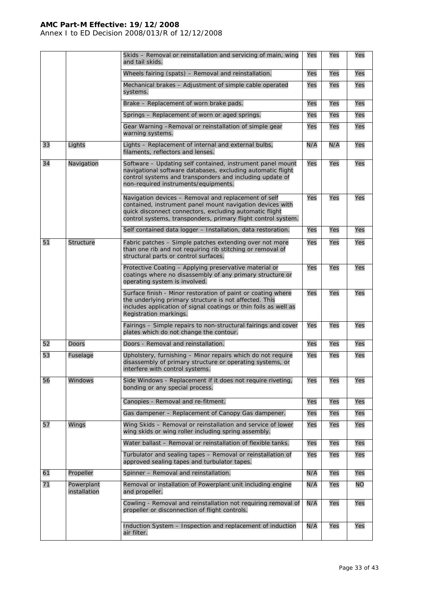Annex I to ED Decision 2008/013/R of 12/12/2008

|    |                            | Skids - Removal or reinstallation and servicing of main, wing<br>and tail skids.                                                                                                                                                              | Yes | Yes | Yes       |
|----|----------------------------|-----------------------------------------------------------------------------------------------------------------------------------------------------------------------------------------------------------------------------------------------|-----|-----|-----------|
|    |                            | Wheels fairing (spats) - Removal and reinstallation.                                                                                                                                                                                          | Yes | Yes | Yes       |
|    |                            | Mechanical brakes - Adjustment of simple cable operated<br>systems.                                                                                                                                                                           | Yes | Yes | Yes       |
|    |                            | Brake – Replacement of worn brake pads.                                                                                                                                                                                                       | Yes | Yes | Yes       |
|    |                            | Springs – Replacement of worn or aged springs.                                                                                                                                                                                                | Yes | Yes | Yes       |
|    |                            | Gear Warning -Removal or reinstallation of simple gear<br>warning systems.                                                                                                                                                                    | Yes | Yes | Yes       |
| 33 | Lights                     | Lights - Replacement of internal and external bulbs,<br>filaments, reflectors and lenses.                                                                                                                                                     | N/A | N/A | Yes       |
| 34 | Navigation                 | Software - Updating self contained, instrument panel mount<br>navigational software databases, excluding automatic flight<br>control systems and transponders and including update of<br>non-required instruments/equipments.                 | Yes | Yes | Yes       |
|    |                            | Navigation devices - Removal and replacement of self<br>contained, instrument panel mount navigation devices with<br>quick disconnect connectors, excluding automatic flight<br>control systems, transponders, primary flight control system. | Yes | Yes | Yes       |
|    |                            | Self contained data logger - Installation, data restoration.                                                                                                                                                                                  | Yes | Yes | Yes       |
| 51 | <b>Structure</b>           | Fabric patches - Simple patches extending over not more<br>than one rib and not requiring rib stitching or removal of<br>structural parts or control surfaces.                                                                                | Yes | Yes | Yes       |
|    |                            | Protective Coating - Applying preservative material or<br>coatings where no disassembly of any primary structure or<br>operating system is involved.                                                                                          | Yes | Yes | Yes       |
|    |                            | Surface finish - Minor restoration of paint or coating where<br>the underlying primary structure is not affected. This<br>includes application of signal coatings or thin foils as well as<br>Registration markings.                          | Yes | Yes | Yes       |
|    |                            | Fairings - Simple repairs to non-structural fairings and cover<br>plates which do not change the contour.                                                                                                                                     | Yes | Yes | Yes       |
| 52 | <b>Doors</b>               | Doors - Removal and reinstallation.                                                                                                                                                                                                           | Yes | Yes | Yes       |
| 53 | Fuselage                   | Upholstery, furnishing - Minor repairs which do not require<br>disassembly of primary structure or operating systems, or<br>interfere with control systems.                                                                                   | Yes | Yes | Yes       |
| 56 | Windows                    | Side Windows - Replacement if it does not require riveting,<br>bonding or any special process.                                                                                                                                                | Yes | Yes | Yes       |
|    |                            | Canopies - Removal and re-fitment.                                                                                                                                                                                                            | Yes | Yes | Yes       |
|    |                            | Gas dampener – Replacement of Canopy Gas dampener.                                                                                                                                                                                            | Yes | Yes | Yes       |
| 57 | Wings                      | Wing Skids - Removal or reinstallation and service of lower<br>wing skids or wing roller including spring assembly.                                                                                                                           | Yes | Yes | Yes       |
|    |                            | Water ballast - Removal or reinstallation of flexible tanks.                                                                                                                                                                                  | Yes | Yes | Yes       |
|    |                            | Turbulator and sealing tapes - Removal or reinstallation of<br>approved sealing tapes and turbulator tapes.                                                                                                                                   | Yes | Yes | Yes       |
| 61 | Propeller                  | Spinner - Removal and reinstallation.                                                                                                                                                                                                         | N/A | Yes | Yes       |
| 71 | Powerplant<br>installation | Removal or installation of Powerplant unit including engine<br>and propeller.                                                                                                                                                                 | N/A | Yes | <b>NO</b> |
|    |                            | Cowling - Removal and reinstallation not requiring removal of<br>propeller or disconnection of flight controls.                                                                                                                               | N/A | Yes | Yes       |
|    |                            | Induction System - Inspection and replacement of induction<br>air filter.                                                                                                                                                                     | N/A | Yes | Yes       |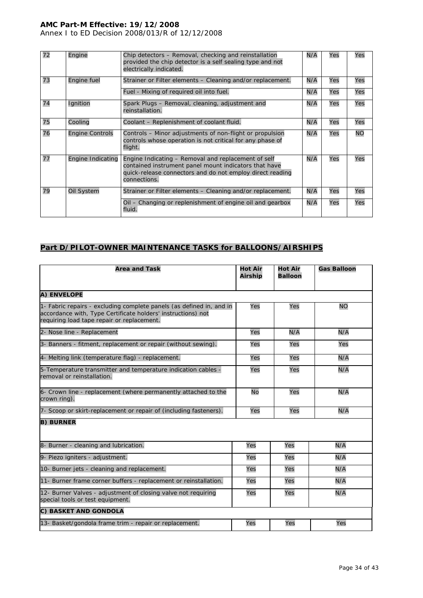Annex I to ED Decision 2008/013/R of 12/12/2008

| 72 | Engine                   | Chip detectors – Removal, checking and reinstallation<br>provided the chip detector is a self sealing type and not<br>electrically indicated.                                             | N/A | Yes | Yes       |
|----|--------------------------|-------------------------------------------------------------------------------------------------------------------------------------------------------------------------------------------|-----|-----|-----------|
| 73 | Engine fuel              | Strainer or Filter elements – Cleaning and/or replacement.                                                                                                                                | N/A | Yes | Yes       |
|    |                          | Fuel - Mixing of required oil into fuel.                                                                                                                                                  | N/A | Yes | Yes       |
| 74 | Ignition                 | Spark Plugs – Removal, cleaning, adjustment and<br>reinstallation.                                                                                                                        | N/A | Yes | Yes       |
| 75 | Cooling                  | Coolant - Replenishment of coolant fluid.                                                                                                                                                 | N/A | Yes | Yes       |
| 76 | <b>Engine Controls</b>   | Controls – Minor adjustments of non-flight or propulsion<br>controls whose operation is not critical for any phase of<br>flight.                                                          | N/A | Yes | <b>NO</b> |
| 77 | <b>Engine Indicating</b> | Engine Indicating - Removal and replacement of self<br>contained instrument panel mount indicators that have<br>quick-release connectors and do not employ direct reading<br>connections. | N/A | Yes | Yes       |
| 79 | Oil System               | Strainer or Filter elements – Cleaning and/or replacement.                                                                                                                                | N/A | Yes | Yes       |
|    |                          | Oil – Changing or replenishment of engine oil and gearbox<br>fluid.                                                                                                                       | N/A | Yes | Yes       |

# **Part D/PILOT-OWNER MAINTENANCE TASKS for BALLOONS/AIRSHIPS**

| <b>Area and Task</b>                                                                                                                                                               | <b>Hot Air</b><br><b>Airship</b> | <b>Hot Air</b><br><b>Balloon</b> | <b>Gas Balloon</b> |
|------------------------------------------------------------------------------------------------------------------------------------------------------------------------------------|----------------------------------|----------------------------------|--------------------|
| A) ENVELOPE                                                                                                                                                                        |                                  |                                  |                    |
| 1- Fabric repairs - excluding complete panels (as defined in, and in<br>accordance with, Type Certificate holders' instructions) not<br>requiring load tape repair or replacement. | Yes                              | Yes                              | <b>NO</b>          |
| 2- Nose line - Replacement                                                                                                                                                         | Yes                              | N/A                              | N/A                |
| 3- Banners - fitment, replacement or repair (without sewing).                                                                                                                      | Yes                              | Yes                              | Yes                |
| 4- Melting link (temperature flag) - replacement.                                                                                                                                  | Yes                              | Yes                              | N/A                |
| 5-Temperature transmitter and temperature indication cables -<br>removal or reinstallation.                                                                                        | Yes                              | Yes                              | N/A                |
| 6- Crown line - replacement (where permanently attached to the<br>crown ring).                                                                                                     | <b>No</b>                        | Yes                              | N/A                |
| 7- Scoop or skirt-replacement or repair of (including fasteners).                                                                                                                  | Yes                              | Yes                              | N/A                |
| <b>B) BURNER</b>                                                                                                                                                                   |                                  |                                  |                    |
| 8- Burner - cleaning and lubrication.                                                                                                                                              | Yes                              | Yes                              | N/A                |
| 9- Piezo igniters - adjustment.                                                                                                                                                    | Yes                              | Yes                              | N/A                |
| 10- Burner jets - cleaning and replacement.                                                                                                                                        | Yes                              | Yes                              | N/A                |
| 11- Burner frame corner buffers - replacement or reinstallation.                                                                                                                   | Yes                              | Yes                              | N/A                |
| 12- Burner Valves - adjustment of closing valve not requiring<br>special tools or test equipment.                                                                                  | Yes                              | Yes                              | N/A                |
| C) BASKET AND GONDOLA                                                                                                                                                              |                                  |                                  |                    |
| 13- Basket/gondola frame trim - repair or replacement.                                                                                                                             | Yes                              | Yes                              | Yes                |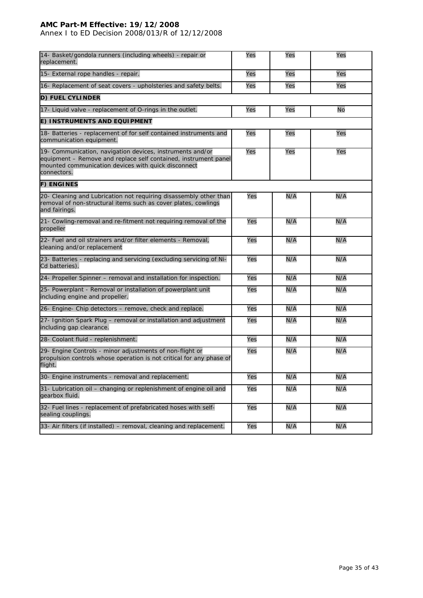Annex I to ED Decision 2008/013/R of 12/12/2008

| 14- Basket/gondola runners (including wheels) - repair or<br>replacement.                                                                                                                          | Yes | Yes | Yes |
|----------------------------------------------------------------------------------------------------------------------------------------------------------------------------------------------------|-----|-----|-----|
| 15- External rope handles - repair.                                                                                                                                                                | Yes | Yes | Yes |
| 16- Replacement of seat covers - upholsteries and safety belts.                                                                                                                                    | Yes | Yes | Yes |
| <b>D) FUEL CYLINDER</b>                                                                                                                                                                            |     |     |     |
| 17- Liquid valve - replacement of O-rings in the outlet.                                                                                                                                           | Yes | Yes | No  |
| E) INSTRUMENTS AND EQUIPMENT                                                                                                                                                                       |     |     |     |
| 18- Batteries - replacement of for self contained instruments and<br>communication equipment.                                                                                                      | Yes | Yes | Yes |
| 19- Communication, navigation devices, instruments and/or<br>equipment – Remove and replace self contained, instrument panel<br>mounted communication devices with quick disconnect<br>connectors. | Yes | Yes | Yes |
| <b>F) ENGINES</b>                                                                                                                                                                                  |     |     |     |
| 20- Cleaning and Lubrication not requiring disassembly other than<br>removal of non-structural items such as cover plates, cowlings<br>and fairings.                                               | Yes | N/A | N/A |
| 21- Cowling-removal and re-fitment not requiring removal of the<br>propeller                                                                                                                       | Yes | N/A | N/A |
| 22- Fuel and oil strainers and/or filter elements - Removal,<br>cleaning and/or replacement                                                                                                        | Yes | N/A | N/A |
| 23- Batteries - replacing and servicing (excluding servicing of Ni-<br>Cd batteries).                                                                                                              | Yes | N/A | N/A |
| 24- Propeller Spinner - removal and installation for inspection.                                                                                                                                   | Yes | N/A | N/A |
| 25- Powerplant - Removal or installation of powerplant unit<br>including engine and propeller.                                                                                                     | Yes | N/A | N/A |
| 26- Engine- Chip detectors – remove, check and replace.                                                                                                                                            | Yes | N/A | N/A |
| 27- Ignition Spark Plug - removal or installation and adjustment<br>including gap clearance.                                                                                                       | Yes | N/A | N/A |
| 28- Coolant fluid - replenishment.                                                                                                                                                                 | Yes | N/A | N/A |
| 29- Engine Controls - minor adjustments of non-flight or<br>propulsion controls whose operation is not critical for any phase of<br>flight.                                                        | Yes | N/A | N/A |
| 30- Engine instruments - removal and replacement.                                                                                                                                                  | Yes | N/A | N/A |
| 31- Lubrication oil - changing or replenishment of engine oil and<br>gearbox fluid.                                                                                                                | Yes | N/A | N/A |
| 32- Fuel lines - replacement of prefabricated hoses with self-<br>sealing couplings.                                                                                                               | Yes | N/A | N/A |
| 33- Air filters (if installed) - removal, cleaning and replacement.                                                                                                                                | Yes | N/A | N/A |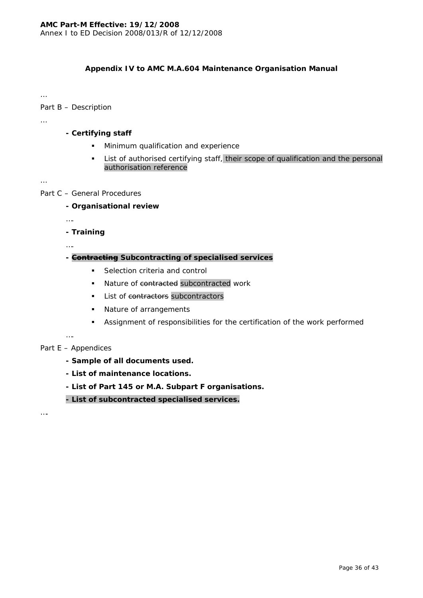# **Appendix IV to AMC M.A.604 Maintenance Organisation Manual**

…

# Part B – Description

…

# **- Certifying staff**

- **Minimum qualification and experience**
- **List of authorised certifying staff, their scope of qualification and the personal** authorisation reference

…

# Part C – General Procedures

# **- Organisational review**

….

# **- Training**

….

# **- Contracting Subcontracting of specialised services**

- Selection criteria and control
- Nature of contracted subcontracted work
- List of contractors subcontractors
- Nature of arrangements
- Assignment of responsibilities for the certification of the work performed

## ….

# Part E – Appendices

- **Sample of all documents used.**
- **List of maintenance locations.**
- **List of Part 145 or M.A. Subpart F organisations.**

# **- List of subcontracted specialised services.**

….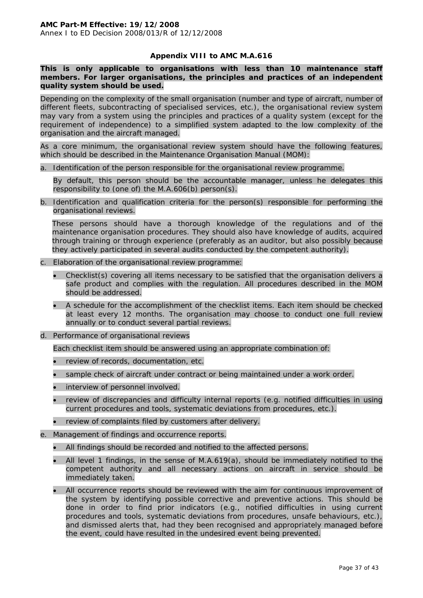#### **Appendix VIII to AMC M.A.616**

**This is only applicable to organisations with less than 10 maintenance staff members. For larger organisations, the principles and practices of an independent quality system should be used.**

Depending on the complexity of the small organisation (number and type of aircraft, number of different fleets, subcontracting of specialised services, etc.), the organisational review system may vary from a system using the principles and practices of a quality system (except for the requirement of independence) to a simplified system adapted to the low complexity of the organisation and the aircraft managed.

As a core minimum, the organisational review system should have the following features, which should be described in the Maintenance Organisation Manual (MOM):

a. Identification of the person responsible for the organisational review programme.

By default, this person should be the accountable manager, unless he delegates this responsibility to (one of) the M.A.606(b) person(s).

b. Identification and qualification criteria for the person(s) responsible for performing the organisational reviews.

These persons should have a thorough knowledge of the regulations and of the maintenance organisation procedures. They should also have knowledge of audits, acquired through training or through experience (preferably as an auditor, but also possibly because they actively participated in several audits conducted by the competent authority).

- c. Elaboration of the organisational review programme:
	- Checklist(s) covering all items necessary to be satisfied that the organisation delivers a safe product and complies with the regulation. All procedures described in the MOM should be addressed.
	- A schedule for the accomplishment of the checklist items. Each item should be checked at least every 12 months. The organisation may choose to conduct one full review annually or to conduct several partial reviews.
- d. Performance of organisational reviews

Each checklist item should be answered using an appropriate combination of:

- review of records, documentation, etc.
- sample check of aircraft under contract or being maintained under a work order.
- interview of personnel involved.
- review of discrepancies and difficulty internal reports (e.g. notified difficulties in using current procedures and tools, systematic deviations from procedures, etc.).
- review of complaints filed by customers after delivery.
- e. Management of findings and occurrence reports.
	- All findings should be recorded and notified to the affected persons.
	- All level 1 findings, in the sense of M.A.619(a), should be immediately notified to the competent authority and all necessary actions on aircraft in service should be immediately taken.
	- All occurrence reports should be reviewed with the aim for continuous improvement of the system by identifying possible corrective and preventive actions. This should be done in order to find prior indicators (e.g., notified difficulties in using current procedures and tools, systematic deviations from procedures, unsafe behaviours, etc.), and dismissed alerts that, had they been recognised and appropriately managed before the event, could have resulted in the undesired event being prevented.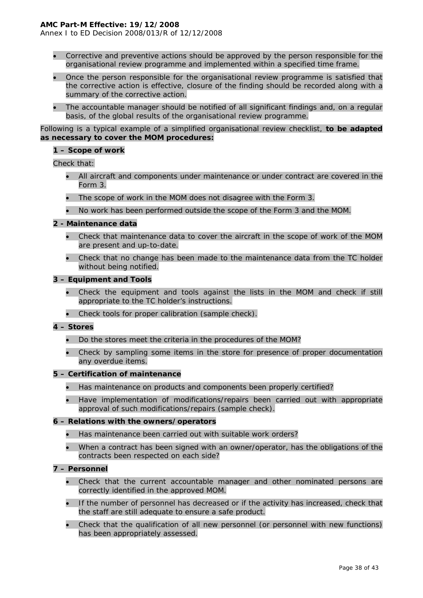Annex I to ED Decision 2008/013/R of 12/12/2008

- Corrective and preventive actions should be approved by the person responsible for the organisational review programme and implemented within a specified time frame.
- Once the person responsible for the organisational review programme is satisfied that the corrective action is effective, closure of the finding should be recorded along with a summary of the corrective action.
- The accountable manager should be notified of all significant findings and, on a regular basis, of the global results of the organisational review programme.

Following is a typical example of a simplified organisational review checklist, **to be adapted as necessary to cover the MOM procedures:** 

#### **1 – Scope of work**

Check that:

- All aircraft and components under maintenance or under contract are covered in the Form 3.
- The scope of work in the MOM does not disagree with the Form 3.
- No work has been performed outside the scope of the Form 3 and the MOM.

#### **2 - Maintenance data**

- Check that maintenance data to cover the aircraft in the scope of work of the MOM are present and up-to-date.
- Check that no change has been made to the maintenance data from the TC holder without being notified.

#### **3 – Equipment and Tools**

- Check the equipment and tools against the lists in the MOM and check if still appropriate to the TC holder's instructions.
- Check tools for proper calibration (sample check).

#### **4 – Stores**

- Do the stores meet the criteria in the procedures of the MOM?
- Check by sampling some items in the store for presence of proper documentation any overdue items.

#### **5 – Certification of maintenance**

- Has maintenance on products and components been properly certified?
- Have implementation of modifications/repairs been carried out with appropriate approval of such modifications/repairs (sample check).

#### **6 – Relations with the owners/operators**

- Has maintenance been carried out with suitable work orders?
- When a contract has been signed with an owner/operator, has the obligations of the contracts been respected on each side?

#### **7 – Personnel**

- Check that the current accountable manager and other nominated persons are correctly identified in the approved MOM.
- If the number of personnel has decreased or if the activity has increased, check that the staff are still adequate to ensure a safe product.
- Check that the qualification of all new personnel (or personnel with new functions) has been appropriately assessed.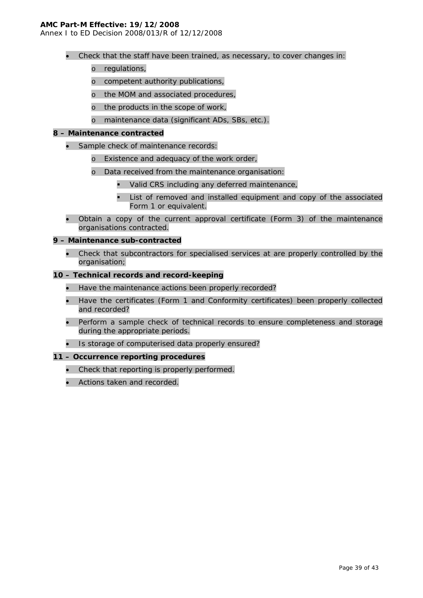Annex I to ED Decision 2008/013/R of 12/12/2008

- Check that the staff have been trained, as necessary, to cover changes in:
	- o regulations,
	- o competent authority publications,
	- o the MOM and associated procedures,
	- o the products in the scope of work,
	- o maintenance data (significant ADs, SBs, etc.).

#### **8 – Maintenance contracted**

- Sample check of maintenance records:
	- o Existence and adequacy of the work order,
	- o Data received from the maintenance organisation:
		- **Valid CRS including any deferred maintenance,**
		- List of removed and installed equipment and copy of the associated Form 1 or equivalent.
- Obtain a copy of the current approval certificate (Form 3) of the maintenance organisations contracted.

#### **9 – Maintenance sub-contracted**

• Check that subcontractors for specialised services at are properly controlled by the organisation;

#### **10 – Technical records and record-keeping**

- Have the maintenance actions been properly recorded?
- Have the certificates (Form 1 and Conformity certificates) been properly collected and recorded?
- Perform a sample check of technical records to ensure completeness and storage during the appropriate periods.
- Is storage of computerised data properly ensured?

## **11 – Occurrence reporting procedures**

- Check that reporting is properly performed.
- Actions taken and recorded.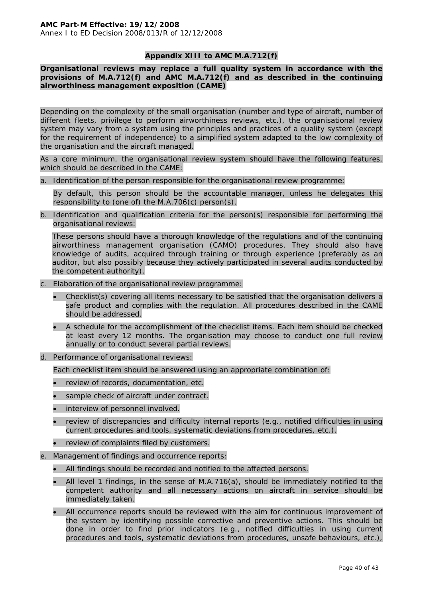## **Appendix XIII to AMC M.A.712(f)**

**Organisational reviews may replace a full quality system in accordance with the provisions of M.A.712(f) and AMC M.A.712(f) and as described in the continuing airworthiness management exposition (CAME)** 

Depending on the complexity of the small organisation (number and type of aircraft, number of different fleets, privilege to perform airworthiness reviews, etc.), the organisational review system may vary from a system using the principles and practices of a quality system (except for the requirement of independence) to a simplified system adapted to the low complexity of the organisation and the aircraft managed.

As a core minimum, the organisational review system should have the following features, which should be described in the CAME:

a. Identification of the person responsible for the organisational review programme:

By default, this person should be the accountable manager, unless he delegates this responsibility to (one of) the M.A.706(c) person(s).

b. Identification and qualification criteria for the person(s) responsible for performing the organisational reviews:

These persons should have a thorough knowledge of the regulations and of the continuing airworthiness management organisation (CAMO) procedures. They should also have knowledge of audits, acquired through training or through experience (preferably as an auditor, but also possibly because they actively participated in several audits conducted by the competent authority).

- c. Elaboration of the organisational review programme:
	- Checklist(s) covering all items necessary to be satisfied that the organisation delivers a safe product and complies with the regulation. All procedures described in the CAME should be addressed.
	- A schedule for the accomplishment of the checklist items. Each item should be checked at least every 12 months. The organisation may choose to conduct one full review annually or to conduct several partial reviews.
- d. Performance of organisational reviews:

Each checklist item should be answered using an appropriate combination of:

- review of records, documentation, etc.
- sample check of aircraft under contract.
- interview of personnel involved.
- review of discrepancies and difficulty internal reports (e.g., notified difficulties in using current procedures and tools, systematic deviations from procedures, etc.).
- review of complaints filed by customers.
- e. Management of findings and occurrence reports:
	- All findings should be recorded and notified to the affected persons.
	- All level 1 findings, in the sense of M.A.716(a), should be immediately notified to the competent authority and all necessary actions on aircraft in service should be immediately taken.
	- All occurrence reports should be reviewed with the aim for continuous improvement of the system by identifying possible corrective and preventive actions. This should be done in order to find prior indicators (e.g., notified difficulties in using current procedures and tools, systematic deviations from procedures, unsafe behaviours, etc.),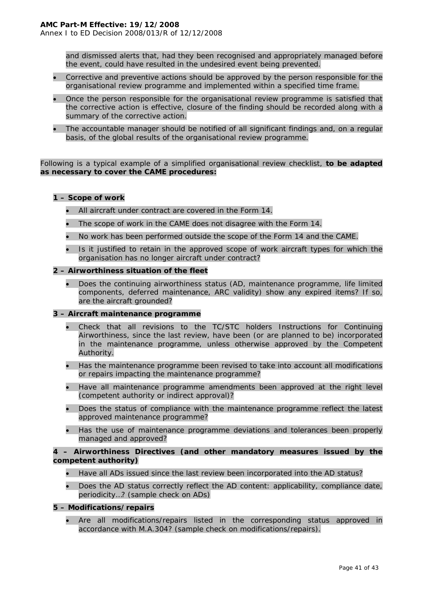Annex I to ED Decision 2008/013/R of 12/12/2008

and dismissed alerts that, had they been recognised and appropriately managed before the event, could have resulted in the undesired event being prevented.

- Corrective and preventive actions should be approved by the person responsible for the organisational review programme and implemented within a specified time frame.
- Once the person responsible for the organisational review programme is satisfied that the corrective action is effective, closure of the finding should be recorded along with a summary of the corrective action.
- The accountable manager should be notified of all significant findings and, on a regular basis, of the global results of the organisational review programme.

Following is a typical example of a simplified organisational review checklist, **to be adapted as necessary to cover the CAME procedures:** 

#### **1 – Scope of work**

- All aircraft under contract are covered in the Form 14.
- The scope of work in the CAME does not disagree with the Form 14.
- No work has been performed outside the scope of the Form 14 and the CAME.
- Is it justified to retain in the approved scope of work aircraft types for which the organisation has no longer aircraft under contract?

#### **2 – Airworthiness situation of the fleet**

• Does the continuing airworthiness status (AD, maintenance programme, life limited components, deferred maintenance, ARC validity) show any expired items? If so, are the aircraft grounded?

#### **3 – Aircraft maintenance programme**

- Check that all revisions to the TC/STC holders Instructions for Continuing Airworthiness, since the last review, have been (or are planned to be) incorporated in the maintenance programme, unless otherwise approved by the Competent Authority.
- Has the maintenance programme been revised to take into account all modifications or repairs impacting the maintenance programme?
- Have all maintenance programme amendments been approved at the right level (competent authority or indirect approval)?
- Does the status of compliance with the maintenance programme reflect the latest approved maintenance programme?
- Has the use of maintenance programme deviations and tolerances been properly managed and approved?

#### **4 – Airworthiness Directives (and other mandatory measures issued by the competent authority)**

- Have all ADs issued since the last review been incorporated into the AD status?
- Does the AD status correctly reflect the AD content: applicability, compliance date, periodicity…? (sample check on ADs)

#### **5 – Modifications/repairs**

• Are all modifications/repairs listed in the corresponding status approved in accordance with M.A.304? (sample check on modifications/repairs).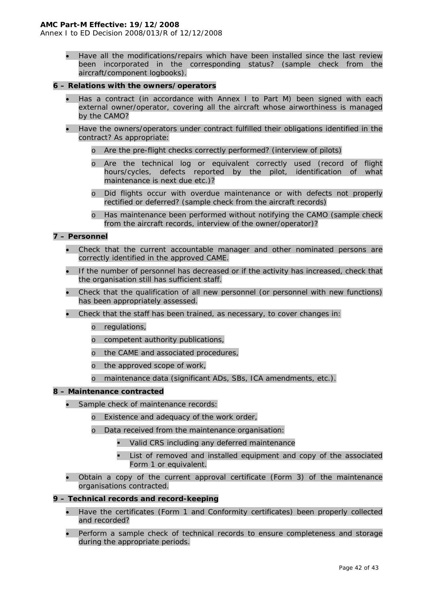Annex I to ED Decision 2008/013/R of 12/12/2008

• Have all the modifications/repairs which have been installed since the last review been incorporated in the corresponding status? (sample check from the aircraft/component logbooks).

#### **6 – Relations with the owners/operators**

- Has a contract (in accordance with Annex I to Part M) been signed with each external owner/operator, covering all the aircraft whose airworthiness is managed by the CAMO?
- Have the owners/operators under contract fulfilled their obligations identified in the contract? As appropriate:
	- o Are the pre-flight checks correctly performed? (interview of pilots)
	- o Are the technical log or equivalent correctly used (record of flight hours/cycles, defects reported by the pilot, identification of what maintenance is next due etc.)?
	- o Did flights occur with overdue maintenance or with defects not properly rectified or deferred? (sample check from the aircraft records)
	- Has maintenance been performed without notifying the CAMO (sample check from the aircraft records, interview of the owner/operator)?

#### **7 – Personnel**

- Check that the current accountable manager and other nominated persons are correctly identified in the approved CAME.
- If the number of personnel has decreased or if the activity has increased, check that the organisation still has sufficient staff.
- Check that the qualification of all new personnel (or personnel with new functions) has been appropriately assessed.
- Check that the staff has been trained, as necessary, to cover changes in:
	- o regulations,
	- o competent authority publications,
	- o the CAME and associated procedures,
	- o the approved scope of work,
	- o maintenance data (significant ADs, SBs, ICA amendments, etc.).

#### **8 – Maintenance contracted**

- Sample check of maintenance records:
	- o Existence and adequacy of the work order,
	- o Data received from the maintenance organisation:
		- Valid CRS including any deferred maintenance
		- List of removed and installed equipment and copy of the associated Form 1 or equivalent.
- Obtain a copy of the current approval certificate (Form 3) of the maintenance organisations contracted.

#### **9 – Technical records and record-keeping**

- Have the certificates (Form 1 and Conformity certificates) been properly collected and recorded?
- Perform a sample check of technical records to ensure completeness and storage during the appropriate periods.